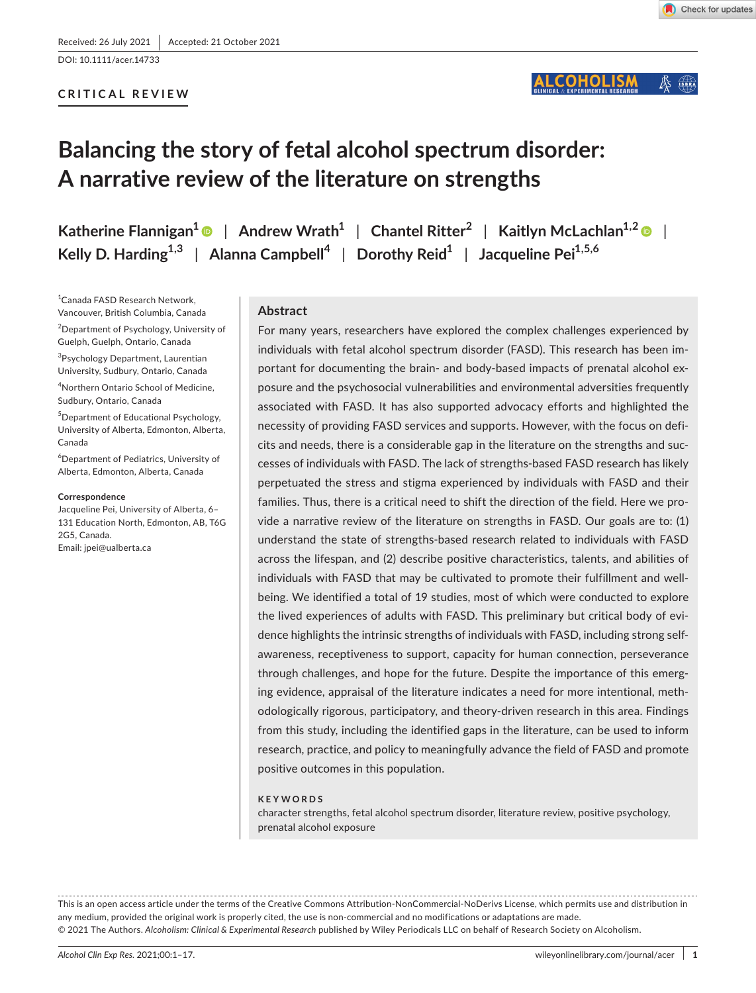DOI: 10.1111/acer.14733

# **CRITICAL REVIEW**

#### **COHOLISM**  $\mathbb{Z}$

# **Balancing the story of fetal alcohol spectrum disorder: A narrative review of the literature on strengths**

**Katherine Flannigan**<sup>1</sup> | Andrew Wrath<sup>1</sup> | Chantel Ritter<sup>2</sup> | Kaitlyn McLachlan<sup>1,2</sup> | *Regiemeral* **Kelly D.** Harding<sup>1,3</sup> | Alanna Campbell<sup>4</sup> | Dorothy Reid<sup>1</sup> | Jacqueline Pei<sup>1,5,6</sup>

1 Canada FASD Research Network, Vancouver, British Columbia, Canada 2 Department of Psychology, University of Guelph, Guelph, Ontario, Canada

<sup>3</sup>Psychology Department, Laurentian University, Sudbury, Ontario, Canada 4 Northern Ontario School of Medicine,

Sudbury, Ontario, Canada

5 Department of Educational Psychology, University of Alberta, Edmonton, Alberta, Canada

6 Department of Pediatrics, University of Alberta, Edmonton, Alberta, Canada

#### **Correspondence**

Jacqueline Pei, University of Alberta, 6– 131 Education North, Edmonton, AB, T6G 2G5, Canada. Email: [jpei@ualberta.ca](mailto:jpei@ualberta.ca)

# **Abstract**

For many years, researchers have explored the complex challenges experienced by individuals with fetal alcohol spectrum disorder (FASD). This research has been important for documenting the brain- and body-based impacts of prenatal alcohol exposure and the psychosocial vulnerabilities and environmental adversities frequently associated with FASD. It has also supported advocacy efforts and highlighted the necessity of providing FASD services and supports. However, with the focus on deficits and needs, there is a considerable gap in the literature on the strengths and successes of individuals with FASD. The lack of strengths-based FASD research has likely perpetuated the stress and stigma experienced by individuals with FASD and their families. Thus, there is a critical need to shift the direction of the field. Here we provide a narrative review of the literature on strengths in FASD. Our goals are to: (1) understand the state of strengths-based research related to individuals with FASD across the lifespan, and (2) describe positive characteristics, talents, and abilities of individuals with FASD that may be cultivated to promote their fulfillment and wellbeing. We identified a total of 19 studies, most of which were conducted to explore the lived experiences of adults with FASD. This preliminary but critical body of evidence highlights the intrinsic strengths of individuals with FASD, including strong selfawareness, receptiveness to support, capacity for human connection, perseverance through challenges, and hope for the future. Despite the importance of this emerging evidence, appraisal of the literature indicates a need for more intentional, methodologically rigorous, participatory, and theory-driven research in this area. Findings from this study, including the identified gaps in the literature, can be used to inform research, practice, and policy to meaningfully advance the field of FASD and promote positive outcomes in this population.

#### **KEYWORDS**

character strengths, fetal alcohol spectrum disorder, literature review, positive psychology, prenatal alcohol exposure

This is an open access article under the terms of the [Creative Commons Attribution-NonCommercial-NoDerivs](http://creativecommons.org/licenses/by-nc-nd/4.0/) License, which permits use and distribution in any medium, provided the original work is properly cited, the use is non-commercial and no modifications or adaptations are made. © 2021 The Authors. *Alcoholism: Clinical & Experimental Research* published by Wiley Periodicals LLC on behalf of Research Society on Alcoholism.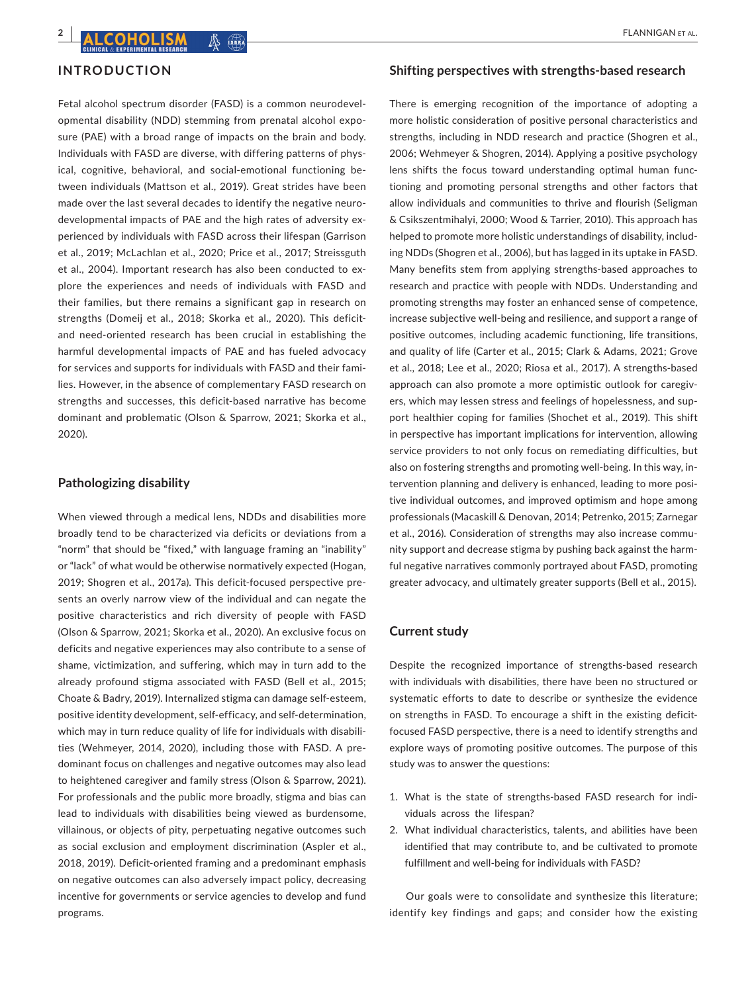# **INTRODUCTION**

Fetal alcohol spectrum disorder (FASD) is a common neurodevelopmental disability (NDD) stemming from prenatal alcohol exposure (PAE) with a broad range of impacts on the brain and body. Individuals with FASD are diverse, with differing patterns of physical, cognitive, behavioral, and social-emotional functioning between individuals (Mattson et al., 2019). Great strides have been made over the last several decades to identify the negative neurodevelopmental impacts of PAE and the high rates of adversity experienced by individuals with FASD across their lifespan (Garrison et al., 2019; McLachlan et al., 2020; Price et al., 2017; Streissguth et al., 2004). Important research has also been conducted to explore the experiences and needs of individuals with FASD and their families, but there remains a significant gap in research on strengths (Domeij et al., 2018; Skorka et al., 2020). This deficitand need-oriented research has been crucial in establishing the harmful developmental impacts of PAE and has fueled advocacy for services and supports for individuals with FASD and their families. However, in the absence of complementary FASD research on strengths and successes, this deficit-based narrative has become dominant and problematic (Olson & Sparrow, 2021; Skorka et al., 2020).

# **Pathologizing disability**

When viewed through a medical lens, NDDs and disabilities more broadly tend to be characterized via deficits or deviations from a "norm" that should be "fixed," with language framing an "inability" or "lack" of what would be otherwise normatively expected (Hogan, 2019; Shogren et al., 2017a). This deficit-focused perspective presents an overly narrow view of the individual and can negate the positive characteristics and rich diversity of people with FASD (Olson & Sparrow, 2021; Skorka et al., 2020). An exclusive focus on deficits and negative experiences may also contribute to a sense of shame, victimization, and suffering, which may in turn add to the already profound stigma associated with FASD (Bell et al., 2015; Choate & Badry, 2019). Internalized stigma can damage self-esteem, positive identity development, self-efficacy, and self-determination, which may in turn reduce quality of life for individuals with disabilities (Wehmeyer, 2014, 2020), including those with FASD. A predominant focus on challenges and negative outcomes may also lead to heightened caregiver and family stress (Olson & Sparrow, 2021). For professionals and the public more broadly, stigma and bias can lead to individuals with disabilities being viewed as burdensome, villainous, or objects of pity, perpetuating negative outcomes such as social exclusion and employment discrimination (Aspler et al., 2018, 2019). Deficit-oriented framing and a predominant emphasis on negative outcomes can also adversely impact policy, decreasing incentive for governments or service agencies to develop and fund programs.

#### **Shifting perspectives with strengths-based research**

There is emerging recognition of the importance of adopting a more holistic consideration of positive personal characteristics and strengths, including in NDD research and practice (Shogren et al., 2006; Wehmeyer & Shogren, 2014). Applying a positive psychology lens shifts the focus toward understanding optimal human functioning and promoting personal strengths and other factors that allow individuals and communities to thrive and flourish (Seligman & Csikszentmihalyi, 2000; Wood & Tarrier, 2010). This approach has helped to promote more holistic understandings of disability, including NDDs (Shogren et al., 2006), but has lagged in its uptake in FASD. Many benefits stem from applying strengths-based approaches to research and practice with people with NDDs. Understanding and promoting strengths may foster an enhanced sense of competence, increase subjective well-being and resilience, and support a range of positive outcomes, including academic functioning, life transitions, and quality of life (Carter et al., 2015; Clark & Adams, 2021; Grove et al., 2018; Lee et al., 2020; Riosa et al., 2017). A strengths-based approach can also promote a more optimistic outlook for caregivers, which may lessen stress and feelings of hopelessness, and support healthier coping for families (Shochet et al., 2019). This shift in perspective has important implications for intervention, allowing service providers to not only focus on remediating difficulties, but also on fostering strengths and promoting well-being. In this way, intervention planning and delivery is enhanced, leading to more positive individual outcomes, and improved optimism and hope among professionals (Macaskill & Denovan, 2014; Petrenko, 2015; Zarnegar et al., 2016). Consideration of strengths may also increase community support and decrease stigma by pushing back against the harmful negative narratives commonly portrayed about FASD, promoting greater advocacy, and ultimately greater supports (Bell et al., 2015).

#### **Current study**

Despite the recognized importance of strengths-based research with individuals with disabilities, there have been no structured or systematic efforts to date to describe or synthesize the evidence on strengths in FASD. To encourage a shift in the existing deficitfocused FASD perspective, there is a need to identify strengths and explore ways of promoting positive outcomes. The purpose of this study was to answer the questions:

- 1. What is the state of strengths-based FASD research for individuals across the lifespan?
- 2. What individual characteristics, talents, and abilities have been identified that may contribute to, and be cultivated to promote fulfillment and well-being for individuals with FASD?

Our goals were to consolidate and synthesize this literature; identify key findings and gaps; and consider how the existing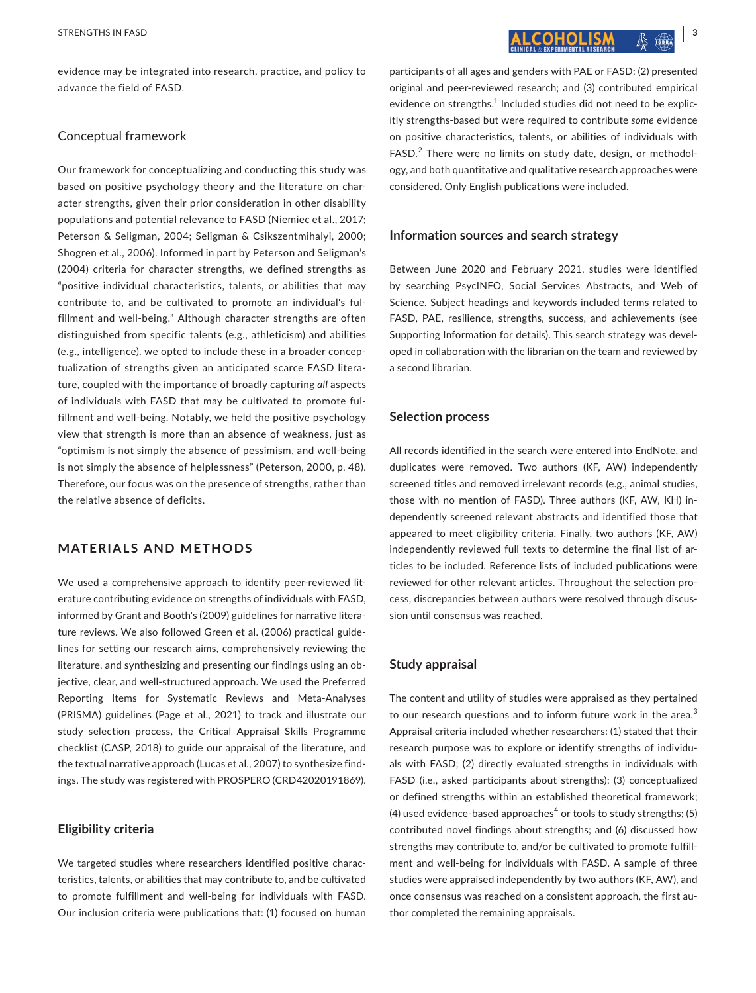evidence may be integrated into research, practice, and policy to advance the field of FASD.

# Conceptual framework

Our framework for conceptualizing and conducting this study was based on positive psychology theory and the literature on character strengths, given their prior consideration in other disability populations and potential relevance to FASD (Niemiec et al., 2017; Peterson & Seligman, 2004; Seligman & Csikszentmihalyi, 2000; Shogren et al., 2006). Informed in part by Peterson and Seligman's (2004) criteria for character strengths, we defined strengths as "positive individual characteristics, talents, or abilities that may contribute to, and be cultivated to promote an individual's fulfillment and well-being." Although character strengths are often distinguished from specific talents (e.g., athleticism) and abilities (e.g., intelligence), we opted to include these in a broader conceptualization of strengths given an anticipated scarce FASD literature, coupled with the importance of broadly capturing *all* aspects of individuals with FASD that may be cultivated to promote fulfillment and well-being. Notably, we held the positive psychology view that strength is more than an absence of weakness, just as "optimism is not simply the absence of pessimism, and well-being is not simply the absence of helplessness" (Peterson, 2000, p. 48). Therefore, our focus was on the presence of strengths, rather than the relative absence of deficits.

# **MATERIALS AND METHODS**

We used a comprehensive approach to identify peer-reviewed literature contributing evidence on strengths of individuals with FASD, informed by Grant and Booth's (2009) guidelines for narrative literature reviews. We also followed Green et al. (2006) practical guidelines for setting our research aims, comprehensively reviewing the literature, and synthesizing and presenting our findings using an objective, clear, and well-structured approach. We used the Preferred Reporting Items for Systematic Reviews and Meta-Analyses (PRISMA) guidelines (Page et al., 2021) to track and illustrate our study selection process, the Critical Appraisal Skills Programme checklist (CASP, 2018) to guide our appraisal of the literature, and the textual narrative approach (Lucas et al., 2007) to synthesize findings. The study was registered with PROSPERO (CRD42020191869).

# **Eligibility criteria**

We targeted studies where researchers identified positive characteristics, talents, or abilities that may contribute to, and be cultivated to promote fulfillment and well-being for individuals with FASD. Our inclusion criteria were publications that: (1) focused on human

participants of all ages and genders with PAE or FASD; (2) presented original and peer-reviewed research; and (3) contributed empirical evidence on strengths.<sup>1</sup> Included studies did not need to be explicitly strengths-based but were required to contribute *some* evidence on positive characteristics, talents, or abilities of individuals with FASD.<sup>2</sup> There were no limits on study date, design, or methodology, and both quantitative and qualitative research approaches were considered. Only English publications were included.

### **Information sources and search strategy**

Between June 2020 and February 2021, studies were identified by searching PsycINFO, Social Services Abstracts, and Web of Science. Subject headings and keywords included terms related to FASD, PAE, resilience, strengths, success, and achievements (see Supporting Information for details). This search strategy was developed in collaboration with the librarian on the team and reviewed by a second librarian.

# **Selection process**

All records identified in the search were entered into EndNote, and duplicates were removed. Two authors (KF, AW) independently screened titles and removed irrelevant records (e.g., animal studies, those with no mention of FASD). Three authors (KF, AW, KH) independently screened relevant abstracts and identified those that appeared to meet eligibility criteria. Finally, two authors (KF, AW) independently reviewed full texts to determine the final list of articles to be included. Reference lists of included publications were reviewed for other relevant articles. Throughout the selection process, discrepancies between authors were resolved through discussion until consensus was reached.

#### **Study appraisal**

The content and utility of studies were appraised as they pertained to our research questions and to inform future work in the area. $3$ Appraisal criteria included whether researchers: (1) stated that their research purpose was to explore or identify strengths of individuals with FASD; (2) directly evaluated strengths in individuals with FASD (i.e., asked participants about strengths); (3) conceptualized or defined strengths within an established theoretical framework; (4) used evidence-based approaches<sup>4</sup> or tools to study strengths; (5) contributed novel findings about strengths; and (6) discussed how strengths may contribute to, and/or be cultivated to promote fulfillment and well-being for individuals with FASD. A sample of three studies were appraised independently by two authors (KF, AW), and once consensus was reached on a consistent approach, the first author completed the remaining appraisals.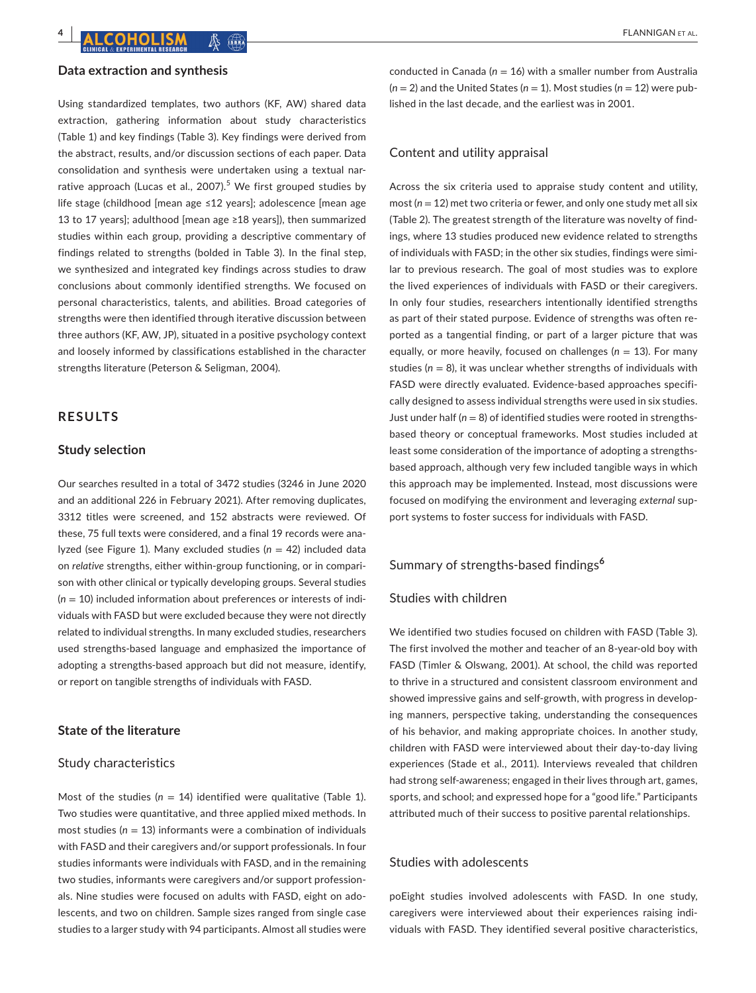#### **Data extraction and synthesis**

Using standardized templates, two authors (KF, AW) shared data extraction, gathering information about study characteristics (Table 1) and key findings (Table 3). Key findings were derived from the abstract, results, and/or discussion sections of each paper. Data consolidation and synthesis were undertaken using a textual narrative approach (Lucas et al., 2007).<sup>5</sup> We first grouped studies by life stage (childhood [mean age ≤12 years]; adolescence [mean age 13 to 17 years]; adulthood [mean age ≥18 years]), then summarized studies within each group, providing a descriptive commentary of findings related to strengths (bolded in Table 3). In the final step, we synthesized and integrated key findings across studies to draw conclusions about commonly identified strengths. We focused on personal characteristics, talents, and abilities. Broad categories of strengths were then identified through iterative discussion between three authors (KF, AW, JP), situated in a positive psychology context and loosely informed by classifications established in the character strengths literature (Peterson & Seligman, 2004).

# **RESULTS**

# **Study selection**

Our searches resulted in a total of 3472 studies (3246 in June 2020 and an additional 226 in February 2021). After removing duplicates, 3312 titles were screened, and 152 abstracts were reviewed. Of these, 75 full texts were considered, and a final 19 records were analyzed (see Figure 1). Many excluded studies (*n* = 42) included data on *relative* strengths, either within-group functioning, or in comparison with other clinical or typically developing groups. Several studies (*n* = 10) included information about preferences or interests of individuals with FASD but were excluded because they were not directly related to individual strengths. In many excluded studies, researchers used strengths-based language and emphasized the importance of adopting a strengths-based approach but did not measure, identify, or report on tangible strengths of individuals with FASD.

# **State of the literature**

### Study characteristics

Most of the studies  $(n = 14)$  identified were qualitative (Table 1). Two studies were quantitative, and three applied mixed methods. In most studies (*n* = 13) informants were a combination of individuals with FASD and their caregivers and/or support professionals. In four studies informants were individuals with FASD, and in the remaining two studies, informants were caregivers and/or support professionals. Nine studies were focused on adults with FASD, eight on adolescents, and two on children. Sample sizes ranged from single case studies to a larger study with 94 participants. Almost all studies were

conducted in Canada (*n* = 16) with a smaller number from Australia  $(n = 2)$  and the United States  $(n = 1)$ . Most studies  $(n = 12)$  were published in the last decade, and the earliest was in 2001.

#### Content and utility appraisal

Across the six criteria used to appraise study content and utility, most (*n* = 12) met two criteria or fewer, and only one study met all six (Table 2). The greatest strength of the literature was novelty of findings, where 13 studies produced new evidence related to strengths of individuals with FASD; in the other six studies, findings were similar to previous research. The goal of most studies was to explore the lived experiences of individuals with FASD or their caregivers. In only four studies, researchers intentionally identified strengths as part of their stated purpose. Evidence of strengths was often reported as a tangential finding, or part of a larger picture that was equally, or more heavily, focused on challenges ( $n = 13$ ). For many studies ( $n = 8$ ), it was unclear whether strengths of individuals with FASD were directly evaluated. Evidence-based approaches specifically designed to assess individual strengths were used in six studies. Just under half  $(n = 8)$  of identified studies were rooted in strengthsbased theory or conceptual frameworks. Most studies included at least some consideration of the importance of adopting a strengthsbased approach, although very few included tangible ways in which this approach may be implemented. Instead, most discussions were focused on modifying the environment and leveraging *external* support systems to foster success for individuals with FASD.

# Summary of strengths-based findings**<sup>6</sup>**

#### Studies with children

We identified two studies focused on children with FASD (Table 3). The first involved the mother and teacher of an 8-year-old boy with FASD (Timler & Olswang, 2001). At school, the child was reported to thrive in a structured and consistent classroom environment and showed impressive gains and self-growth, with progress in developing manners, perspective taking, understanding the consequences of his behavior, and making appropriate choices. In another study, children with FASD were interviewed about their day-to-day living experiences (Stade et al., 2011). Interviews revealed that children had strong self-awareness; engaged in their lives through art, games, sports, and school; and expressed hope for a "good life." Participants attributed much of their success to positive parental relationships.

# Studies with adolescents

poEight studies involved adolescents with FASD. In one study, caregivers were interviewed about their experiences raising individuals with FASD. They identified several positive characteristics,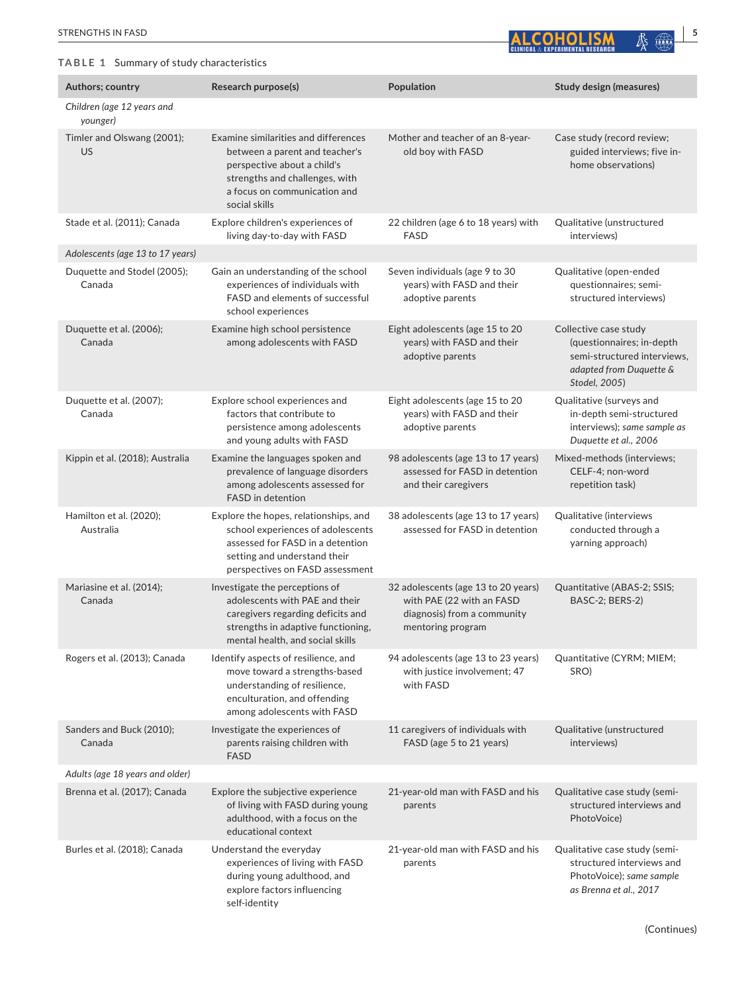# **TABLE 1** Summary of study characteristics

| <b>STRENGTHS</b><br>$\ddot{\phantom{1}}$<br>. IN 1 | <b>IAI</b>   | ው  |  |
|----------------------------------------------------|--------------|----|--|
|                                                    | <b>EARCH</b> | 25 |  |

| Authors; country                       | Research purpose(s)                                                                                                                                                                      | Population                                                                                                           | <b>Study design (measures)</b>                                                                                                |
|----------------------------------------|------------------------------------------------------------------------------------------------------------------------------------------------------------------------------------------|----------------------------------------------------------------------------------------------------------------------|-------------------------------------------------------------------------------------------------------------------------------|
| Children (age 12 years and<br>younger) |                                                                                                                                                                                          |                                                                                                                      |                                                                                                                               |
| Timler and Olswang (2001);<br>US       | Examine similarities and differences<br>between a parent and teacher's<br>perspective about a child's<br>strengths and challenges, with<br>a focus on communication and<br>social skills | Mother and teacher of an 8-year-<br>old boy with FASD                                                                | Case study (record review;<br>guided interviews; five in-<br>home observations)                                               |
| Stade et al. (2011); Canada            | Explore children's experiences of<br>living day-to-day with FASD                                                                                                                         | 22 children (age 6 to 18 years) with<br><b>FASD</b>                                                                  | Qualitative (unstructured<br>interviews)                                                                                      |
| Adolescents (age 13 to 17 years)       |                                                                                                                                                                                          |                                                                                                                      |                                                                                                                               |
| Duquette and Stodel (2005);<br>Canada  | Gain an understanding of the school<br>experiences of individuals with<br>FASD and elements of successful<br>school experiences                                                          | Seven individuals (age 9 to 30<br>years) with FASD and their<br>adoptive parents                                     | Qualitative (open-ended<br>questionnaires; semi-<br>structured interviews)                                                    |
| Duquette et al. (2006);<br>Canada      | Examine high school persistence<br>among adolescents with FASD                                                                                                                           | Eight adolescents (age 15 to 20<br>years) with FASD and their<br>adoptive parents                                    | Collective case study<br>(questionnaires; in-depth<br>semi-structured interviews,<br>adapted from Duquette &<br>Stodel, 2005) |
| Duquette et al. (2007);<br>Canada      | Explore school experiences and<br>factors that contribute to<br>persistence among adolescents<br>and young adults with FASD                                                              | Eight adolescents (age 15 to 20<br>years) with FASD and their<br>adoptive parents                                    | Qualitative (surveys and<br>in-depth semi-structured<br>interviews); same sample as<br>Duquette et al., 2006                  |
| Kippin et al. (2018); Australia        | Examine the languages spoken and<br>prevalence of language disorders<br>among adolescents assessed for<br>FASD in detention                                                              | 98 adolescents (age 13 to 17 years)<br>assessed for FASD in detention<br>and their caregivers                        | Mixed-methods (interviews;<br>CELF-4; non-word<br>repetition task)                                                            |
| Hamilton et al. (2020);<br>Australia   | Explore the hopes, relationships, and<br>school experiences of adolescents<br>assessed for FASD in a detention<br>setting and understand their<br>perspectives on FASD assessment        | 38 adolescents (age 13 to 17 years)<br>assessed for FASD in detention                                                | Qualitative (interviews<br>conducted through a<br>yarning approach)                                                           |
| Mariasine et al. (2014);<br>Canada     | Investigate the perceptions of<br>adolescents with PAE and their<br>caregivers regarding deficits and<br>strengths in adaptive functioning,<br>mental health, and social skills          | 32 adolescents (age 13 to 20 years)<br>with PAE (22 with an FASD<br>diagnosis) from a community<br>mentoring program | Quantitative (ABAS-2; SSIS;<br>BASC-2; BERS-2)                                                                                |
| Rogers et al. (2013); Canada           | Identify aspects of resilience, and<br>move toward a strengths-based<br>understanding of resilience,<br>enculturation, and offending<br>among adolescents with FASD                      | 94 adolescents (age 13 to 23 years)<br>with justice involvement; 47<br>with FASD                                     | Quantitative (CYRM; MIEM;<br>SRO)                                                                                             |
| Sanders and Buck (2010);<br>Canada     | Investigate the experiences of<br>parents raising children with<br><b>FASD</b>                                                                                                           | 11 caregivers of individuals with<br>FASD (age 5 to 21 years)                                                        | Qualitative (unstructured<br>interviews)                                                                                      |
| Adults (age 18 years and older)        |                                                                                                                                                                                          |                                                                                                                      |                                                                                                                               |
| Brenna et al. (2017); Canada           | Explore the subjective experience<br>of living with FASD during young<br>adulthood, with a focus on the<br>educational context                                                           | 21-year-old man with FASD and his<br>parents                                                                         | Qualitative case study (semi-<br>structured interviews and<br>PhotoVoice)                                                     |
| Burles et al. (2018); Canada           | Understand the everyday<br>experiences of living with FASD<br>during young adulthood, and<br>explore factors influencing<br>self-identity                                                | 21-year-old man with FASD and his<br>parents                                                                         | Qualitative case study (semi-<br>structured interviews and<br>PhotoVoice); same sample<br>as Brenna et al., 2017              |

(Continues)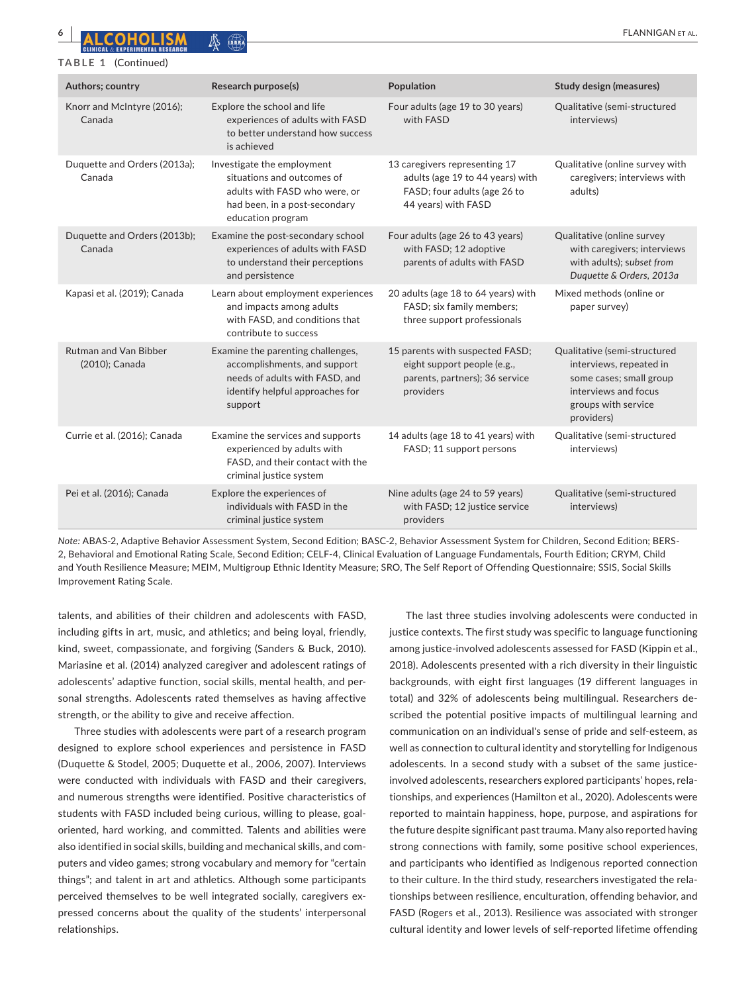#### **TABLE 1** (Continued)

| Authors; country                               | Research purpose(s)                                                                                                                               | Population                                                                                                               | Study design (measures)                                                                                                                         |
|------------------------------------------------|---------------------------------------------------------------------------------------------------------------------------------------------------|--------------------------------------------------------------------------------------------------------------------------|-------------------------------------------------------------------------------------------------------------------------------------------------|
| Knorr and McIntyre (2016);<br>Canada           | Explore the school and life<br>experiences of adults with FASD<br>to better understand how success<br>is achieved                                 | Four adults (age 19 to 30 years)<br>with FASD                                                                            | Qualitative (semi-structured<br>interviews)                                                                                                     |
| Duquette and Orders (2013a);<br>Canada         | Investigate the employment<br>situations and outcomes of<br>adults with FASD who were, or<br>had been, in a post-secondary<br>education program   | 13 caregivers representing 17<br>adults (age 19 to 44 years) with<br>FASD; four adults (age 26 to<br>44 years) with FASD | Qualitative (online survey with<br>caregivers; interviews with<br>adults)                                                                       |
| Duquette and Orders (2013b);<br>Canada         | Examine the post-secondary school<br>experiences of adults with FASD<br>to understand their perceptions<br>and persistence                        | Four adults (age 26 to 43 years)<br>with FASD; 12 adoptive<br>parents of adults with FASD                                | Qualitative (online survey<br>with caregivers; interviews<br>with adults); subset from<br>Duquette & Orders, 2013a                              |
| Kapasi et al. (2019); Canada                   | Learn about employment experiences<br>and impacts among adults<br>with FASD, and conditions that<br>contribute to success                         | 20 adults (age 18 to 64 years) with<br>FASD; six family members;<br>three support professionals                          | Mixed methods (online or<br>paper survey)                                                                                                       |
| <b>Rutman and Van Bibber</b><br>(2010); Canada | Examine the parenting challenges,<br>accomplishments, and support<br>needs of adults with FASD, and<br>identify helpful approaches for<br>support | 15 parents with suspected FASD;<br>eight support people (e.g.,<br>parents, partners); 36 service<br>providers            | Qualitative (semi-structured<br>interviews, repeated in<br>some cases; small group<br>interviews and focus<br>groups with service<br>providers) |
| Currie et al. (2016); Canada                   | Examine the services and supports<br>experienced by adults with<br>FASD, and their contact with the<br>criminal justice system                    | 14 adults (age 18 to 41 years) with<br>FASD; 11 support persons                                                          | Qualitative (semi-structured<br>interviews)                                                                                                     |
| Pei et al. (2016); Canada                      | Explore the experiences of<br>individuals with FASD in the<br>criminal justice system                                                             | Nine adults (age 24 to 59 years)<br>with FASD; 12 justice service<br>providers                                           | Qualitative (semi-structured<br>interviews)                                                                                                     |

*Note:* ABAS-2, Adaptive Behavior Assessment System, Second Edition; BASC-2, Behavior Assessment System for Children, Second Edition; BERS-2, Behavioral and Emotional Rating Scale, Second Edition; CELF-4, Clinical Evaluation of Language Fundamentals, Fourth Edition; CRYM, Child and Youth Resilience Measure; MEIM, Multigroup Ethnic Identity Measure; SRO, The Self Report of Offending Questionnaire; SSIS, Social Skills Improvement Rating Scale.

talents, and abilities of their children and adolescents with FASD, including gifts in art, music, and athletics; and being loyal, friendly, kind, sweet, compassionate, and forgiving (Sanders & Buck, 2010). Mariasine et al. (2014) analyzed caregiver and adolescent ratings of adolescents' adaptive function, social skills, mental health, and personal strengths. Adolescents rated themselves as having affective strength, or the ability to give and receive affection.

Three studies with adolescents were part of a research program designed to explore school experiences and persistence in FASD (Duquette & Stodel, 2005; Duquette et al., 2006, 2007). Interviews were conducted with individuals with FASD and their caregivers, and numerous strengths were identified. Positive characteristics of students with FASD included being curious, willing to please, goaloriented, hard working, and committed. Talents and abilities were also identified in social skills, building and mechanical skills, and computers and video games; strong vocabulary and memory for "certain things"; and talent in art and athletics. Although some participants perceived themselves to be well integrated socially, caregivers expressed concerns about the quality of the students' interpersonal relationships.

The last three studies involving adolescents were conducted in justice contexts. The first study was specific to language functioning among justice-involved adolescents assessed for FASD (Kippin et al., 2018). Adolescents presented with a rich diversity in their linguistic backgrounds, with eight first languages (19 different languages in total) and 32% of adolescents being multilingual. Researchers described the potential positive impacts of multilingual learning and communication on an individual's sense of pride and self-esteem, as well as connection to cultural identity and storytelling for Indigenous adolescents. In a second study with a subset of the same justiceinvolved adolescents, researchers explored participants' hopes, relationships, and experiences (Hamilton et al., 2020). Adolescents were reported to maintain happiness, hope, purpose, and aspirations for the future despite significant past trauma. Many also reported having strong connections with family, some positive school experiences, and participants who identified as Indigenous reported connection to their culture. In the third study, researchers investigated the relationships between resilience, enculturation, offending behavior, and FASD (Rogers et al., 2013). Resilience was associated with stronger cultural identity and lower levels of self-reported lifetime offending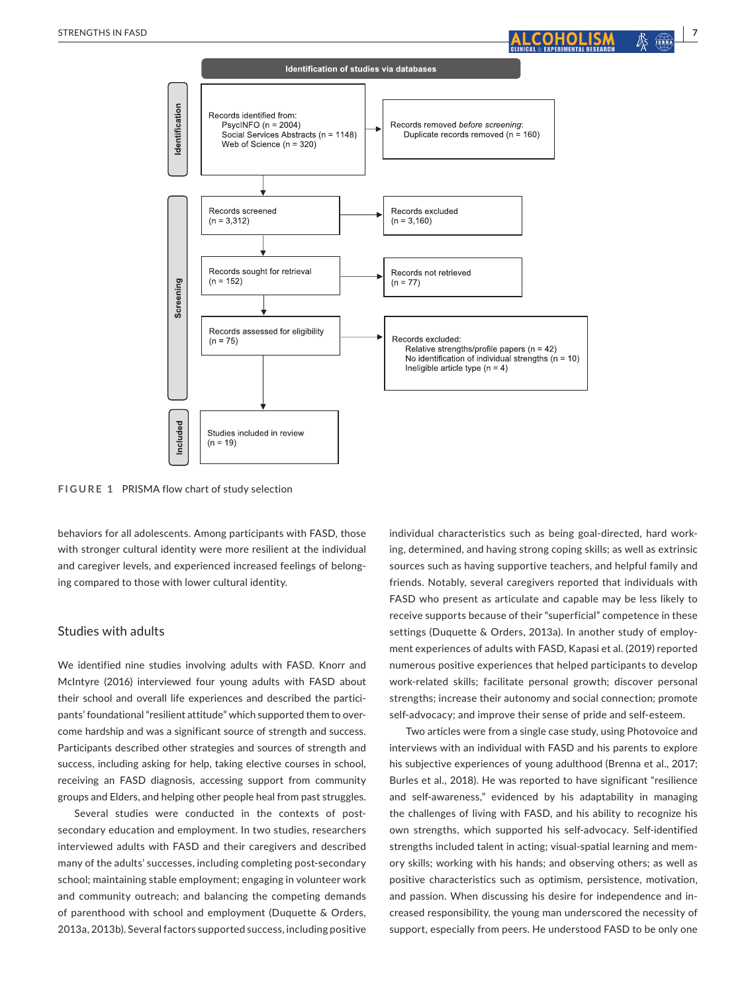



**FIGURE 1** PRISMA flow chart of study selection

behaviors for all adolescents. Among participants with FASD, those with stronger cultural identity were more resilient at the individual and caregiver levels, and experienced increased feelings of belonging compared to those with lower cultural identity.

#### Studies with adults

We identified nine studies involving adults with FASD. Knorr and McIntyre (2016) interviewed four young adults with FASD about their school and overall life experiences and described the participants' foundational "resilient attitude" which supported them to overcome hardship and was a significant source of strength and success. Participants described other strategies and sources of strength and success, including asking for help, taking elective courses in school, receiving an FASD diagnosis, accessing support from community groups and Elders, and helping other people heal from past struggles.

Several studies were conducted in the contexts of postsecondary education and employment. In two studies, researchers interviewed adults with FASD and their caregivers and described many of the adults' successes, including completing post-secondary school; maintaining stable employment; engaging in volunteer work and community outreach; and balancing the competing demands of parenthood with school and employment (Duquette & Orders, 2013a, 2013b). Several factors supported success, including positive

individual characteristics such as being goal-directed, hard working, determined, and having strong coping skills; as well as extrinsic sources such as having supportive teachers, and helpful family and friends. Notably, several caregivers reported that individuals with FASD who present as articulate and capable may be less likely to receive supports because of their "superficial" competence in these settings (Duquette & Orders, 2013a). In another study of employment experiences of adults with FASD, Kapasi et al. (2019) reported numerous positive experiences that helped participants to develop work-related skills; facilitate personal growth; discover personal strengths; increase their autonomy and social connection; promote self-advocacy; and improve their sense of pride and self-esteem.

Two articles were from a single case study, using Photovoice and interviews with an individual with FASD and his parents to explore his subjective experiences of young adulthood (Brenna et al., 2017; Burles et al., 2018). He was reported to have significant "resilience and self-awareness," evidenced by his adaptability in managing the challenges of living with FASD, and his ability to recognize his own strengths, which supported his self-advocacy. Self-identified strengths included talent in acting; visual-spatial learning and memory skills; working with his hands; and observing others; as well as positive characteristics such as optimism, persistence, motivation, and passion. When discussing his desire for independence and increased responsibility, the young man underscored the necessity of support, especially from peers. He understood FASD to be only one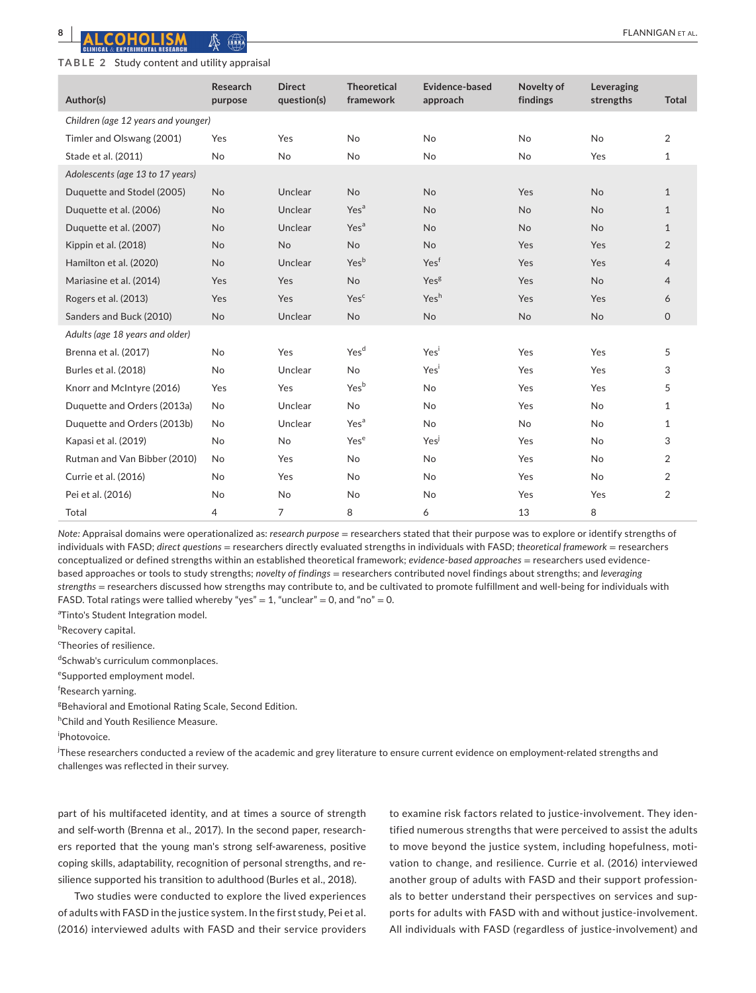*Children (age 12 years and younger)*

**Author(s)**

# **TABLE 2** Study content and utility appraisal

**Research**  purpo

| ppi disdi          |                              |                                 |                            |                        |                         |              |
|--------------------|------------------------------|---------------------------------|----------------------------|------------------------|-------------------------|--------------|
| arch<br><b>ose</b> | <b>Direct</b><br>question(s) | <b>Theoretical</b><br>framework | Evidence-based<br>approach | Novelty of<br>findings | Leveraging<br>strengths | <b>Total</b> |
|                    |                              |                                 |                            |                        |                         |              |
|                    | Yes                          | No.                             | No                         | No                     | No                      | 2            |
|                    | No.                          | No                              | No                         | No                     | Yes                     | $\mathbf{1}$ |
|                    |                              |                                 |                            |                        |                         |              |
|                    | Unclear                      | <b>No</b>                       | <b>No</b>                  | Yes                    | <b>No</b>               | $\mathbf{1}$ |
|                    | Unclear                      | Yes <sup>a</sup>                | No                         | No                     | <b>No</b>               | $\mathbf{1}$ |

| Timler and Olswang (2001)        | Yes       | Yes            | No               | No               | No        | No        | $\overline{2}$ |
|----------------------------------|-----------|----------------|------------------|------------------|-----------|-----------|----------------|
| Stade et al. (2011)              | No        | No             | No               | <b>No</b>        | <b>No</b> | Yes       | $\mathbf{1}$   |
| Adolescents (age 13 to 17 years) |           |                |                  |                  |           |           |                |
| Duquette and Stodel (2005)       | <b>No</b> | Unclear        | <b>No</b>        | <b>No</b>        | Yes       | <b>No</b> | $\mathbf{1}$   |
| Duquette et al. (2006)           | <b>No</b> | Unclear        | Yes <sup>a</sup> | <b>No</b>        | <b>No</b> | <b>No</b> | $\mathbf{1}$   |
| Duquette et al. (2007)           | <b>No</b> | Unclear        | Yes <sup>a</sup> | No               | <b>No</b> | <b>No</b> | $\mathbf{1}$   |
| Kippin et al. (2018)             | <b>No</b> | <b>No</b>      | <b>No</b>        | <b>No</b>        | Yes       | Yes       | $\overline{2}$ |
| Hamilton et al. (2020)           | <b>No</b> | Unclear        | Yesb             | Yesf             | Yes       | Yes       | $\overline{4}$ |
| Mariasine et al. (2014)          | Yes       | Yes            | <b>No</b>        | Yes <sup>g</sup> | Yes       | <b>No</b> | $\overline{4}$ |
| Rogers et al. (2013)             | Yes       | Yes            | Yes <sup>c</sup> | Yesh             | Yes       | Yes       | 6              |
| Sanders and Buck (2010)          | No        | Unclear        | No               | No               | <b>No</b> | <b>No</b> | $\mathsf{O}$   |
| Adults (age 18 years and older)  |           |                |                  |                  |           |           |                |
| Brenna et al. (2017)             | No        | Yes            | Yes <sup>d</sup> | Yesi             | Yes       | Yes       | 5              |
| Burles et al. (2018)             | No        | Unclear        | <b>No</b>        | Yesi             | Yes       | Yes       | 3              |
| Knorr and McIntyre (2016)        | Yes       | Yes            | Yes <sup>b</sup> | <b>No</b>        | Yes       | Yes       | 5              |
| Duquette and Orders (2013a)      | No        | Unclear        | No               | No               | Yes       | No        | $\mathbf{1}$   |
| Duquette and Orders (2013b)      | No        | Unclear        | Yes <sup>a</sup> | No               | <b>No</b> | No        | $\mathbf{1}$   |
| Kapasi et al. (2019)             | No        | No             | Yes <sup>e</sup> | Yes              | Yes       | No        | 3              |
| Rutman and Van Bibber (2010)     | No        | Yes            | <b>No</b>        | <b>No</b>        | Yes       | <b>No</b> | $\overline{2}$ |
| Currie et al. (2016)             | No        | Yes            | No               | <b>No</b>        | Yes       | <b>No</b> | $\overline{2}$ |
| Pei et al. (2016)                | No        | No             | No               | No               | Yes       | Yes       | $\overline{2}$ |
| Total                            | 4         | $\overline{7}$ | 8                | 6                | 13        | 8         |                |
|                                  |           |                |                  |                  |           |           |                |

*Note:* Appraisal domains were operationalized as: *research purpose* = researchers stated that their purpose was to explore or identify strengths of individuals with FASD; *direct questions* = researchers directly evaluated strengths in individuals with FASD; *theoretical framework* = researchers conceptualized or defined strengths within an established theoretical framework; *evidence*-*based approaches* = researchers used evidencebased approaches or tools to study strengths; *novelty of findings* = researchers contributed novel findings about strengths; and *leveraging strengths* = researchers discussed how strengths may contribute to, and be cultivated to promote fulfillment and well-being for individuals with FASD. Total ratings were tallied whereby "yes" = 1, "unclear" = 0, and "no" = 0.

<sup>a</sup>Tinto's Student Integration model.

<sup>b</sup>Recovery capital.

<sup>c</sup>Theories of resilience.

dSchwab's curriculum commonplaces.

e Supported employment model.

f Research yarning.

<sup>g</sup> Behavioral and Emotional Rating Scale, Second Edition.

h Child and Youth Resilience Measure.

i Photovoice.

.<br>These researchers conducted a review of the academic and grey literature to ensure current evidence on employment-related strengths and challenges was reflected in their survey.

part of his multifaceted identity, and at times a source of strength and self-worth (Brenna et al., 2017). In the second paper, researchers reported that the young man's strong self-awareness, positive coping skills, adaptability, recognition of personal strengths, and resilience supported his transition to adulthood (Burles et al., 2018).

Two studies were conducted to explore the lived experiences of adults with FASD in the justice system. In the first study, Pei et al. (2016) interviewed adults with FASD and their service providers

to examine risk factors related to justice-involvement. They identified numerous strengths that were perceived to assist the adults to move beyond the justice system, including hopefulness, motivation to change, and resilience. Currie et al. (2016) interviewed another group of adults with FASD and their support professionals to better understand their perspectives on services and supports for adults with FASD with and without justice-involvement. All individuals with FASD (regardless of justice-involvement) and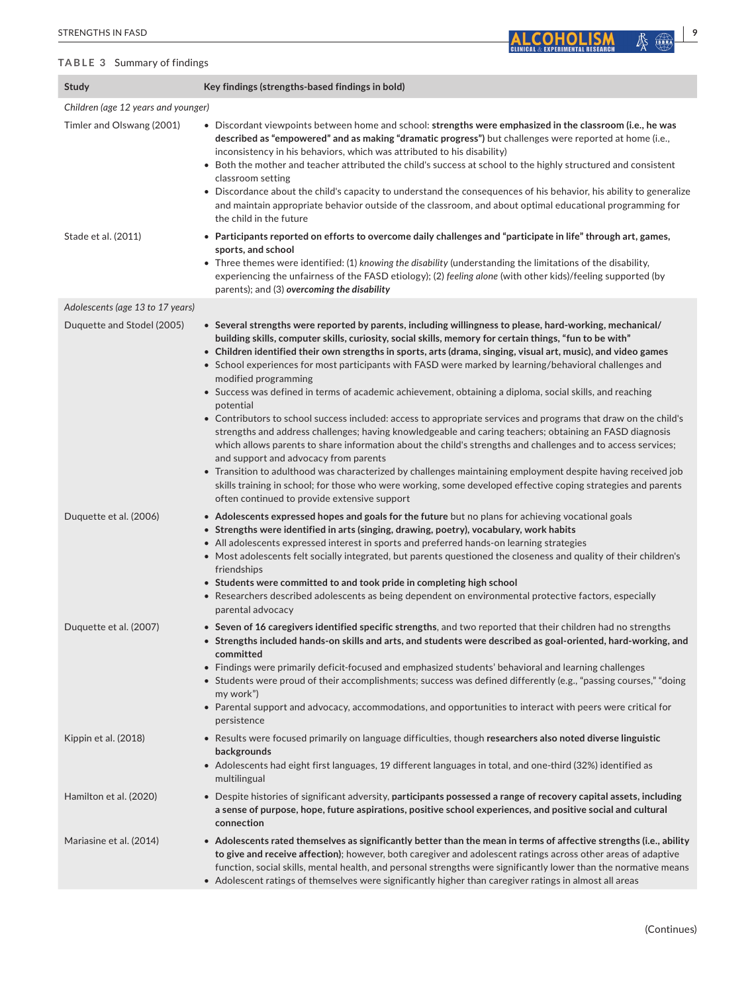#### **TABLE 3** Summary of findings

| STRENGTHS IN FASD                   | 9                                                                                                                                                                                                                                                                                                                                                                                                                                                                                                                                                                                                                                                                                                                                                                                                                                                                                                                                                                                                                                                                                                                                                                                                                                                                        |
|-------------------------------------|--------------------------------------------------------------------------------------------------------------------------------------------------------------------------------------------------------------------------------------------------------------------------------------------------------------------------------------------------------------------------------------------------------------------------------------------------------------------------------------------------------------------------------------------------------------------------------------------------------------------------------------------------------------------------------------------------------------------------------------------------------------------------------------------------------------------------------------------------------------------------------------------------------------------------------------------------------------------------------------------------------------------------------------------------------------------------------------------------------------------------------------------------------------------------------------------------------------------------------------------------------------------------|
| TABLE 3 Summary of findings         | <b>CLINICAL &amp; EXPERIMENTAL RESEARCI</b>                                                                                                                                                                                                                                                                                                                                                                                                                                                                                                                                                                                                                                                                                                                                                                                                                                                                                                                                                                                                                                                                                                                                                                                                                              |
| Study                               | Key findings (strengths-based findings in bold)                                                                                                                                                                                                                                                                                                                                                                                                                                                                                                                                                                                                                                                                                                                                                                                                                                                                                                                                                                                                                                                                                                                                                                                                                          |
| Children (age 12 years and younger) |                                                                                                                                                                                                                                                                                                                                                                                                                                                                                                                                                                                                                                                                                                                                                                                                                                                                                                                                                                                                                                                                                                                                                                                                                                                                          |
| Timler and Olswang (2001)           | • Discordant viewpoints between home and school: strengths were emphasized in the classroom (i.e., he was<br>described as "empowered" and as making "dramatic progress") but challenges were reported at home (i.e.,<br>inconsistency in his behaviors, which was attributed to his disability)<br>• Both the mother and teacher attributed the child's success at school to the highly structured and consistent<br>classroom setting<br>• Discordance about the child's capacity to understand the consequences of his behavior, his ability to generalize<br>and maintain appropriate behavior outside of the classroom, and about optimal educational programming for<br>the child in the future                                                                                                                                                                                                                                                                                                                                                                                                                                                                                                                                                                     |
| Stade et al. (2011)                 | • Participants reported on efforts to overcome daily challenges and "participate in life" through art, games,<br>sports, and school<br>• Three themes were identified: (1) knowing the disability (understanding the limitations of the disability,<br>experiencing the unfairness of the FASD etiology); (2) feeling alone (with other kids)/feeling supported (by<br>parents); and (3) overcoming the disability                                                                                                                                                                                                                                                                                                                                                                                                                                                                                                                                                                                                                                                                                                                                                                                                                                                       |
| Adolescents (age 13 to 17 years)    |                                                                                                                                                                                                                                                                                                                                                                                                                                                                                                                                                                                                                                                                                                                                                                                                                                                                                                                                                                                                                                                                                                                                                                                                                                                                          |
| Duquette and Stodel (2005)          | • Several strengths were reported by parents, including willingness to please, hard-working, mechanical/<br>building skills, computer skills, curiosity, social skills, memory for certain things, "fun to be with"<br>• Children identified their own strengths in sports, arts (drama, singing, visual art, music), and video games<br>• School experiences for most participants with FASD were marked by learning/behavioral challenges and<br>modified programming<br>• Success was defined in terms of academic achievement, obtaining a diploma, social skills, and reaching<br>potential<br>• Contributors to school success included: access to appropriate services and programs that draw on the child's<br>strengths and address challenges; having knowledgeable and caring teachers; obtaining an FASD diagnosis<br>which allows parents to share information about the child's strengths and challenges and to access services;<br>and support and advocacy from parents<br>• Transition to adulthood was characterized by challenges maintaining employment despite having received job<br>skills training in school; for those who were working, some developed effective coping strategies and parents<br>often continued to provide extensive support |
| Duquette et al. (2006)              | • Adolescents expressed hopes and goals for the future but no plans for achieving vocational goals<br>• Strengths were identified in arts (singing, drawing, poetry), vocabulary, work habits<br>• All adolescents expressed interest in sports and preferred hands-on learning strategies<br>• Most adolescents felt socially integrated, but parents questioned the closeness and quality of their children's<br>friendships                                                                                                                                                                                                                                                                                                                                                                                                                                                                                                                                                                                                                                                                                                                                                                                                                                           |

- **Students were committed to and took pride in completing high school**
- Researchers described adolescents as being dependent on environmental protective factors, especially parental advocacy
- Duquette et al. (2007) **Seven of 16 caregivers identified specific strengths**, and two reported that their children had no strengths
	- **Strengths included hands-on skills and arts, and students were described as goal-oriented, hard-working, and committed**
	- Findings were primarily deficit-focused and emphasized students' behavioral and learning challenges
	- Students were proud of their accomplishments; success was defined differently (e.g., "passing courses," "doing my work")
	- Parental support and advocacy, accommodations, and opportunities to interact with peers were critical for persistence
- Kippin et al. (2018) Results were focused primarily on language difficulties, though **researchers also noted diverse linguistic backgrounds**
	- Adolescents had eight first languages, 19 different languages in total, and one-third (32%) identified as multilingual
- Hamilton et al. (2020) Despite histories of significant adversity, **participants possessed a range of recovery capital assets, including a sense of purpose, hope, future aspirations, positive school experiences, and positive social and cultural connection**

# Mariasine et al. (2014) • **Adolescents rated themselves as significantly better than the mean in terms of affective strengths (i.e., ability to give and receive affection)**; however, both caregiver and adolescent ratings across other areas of adaptive function, social skills, mental health, and personal strengths were significantly lower than the normative means

• Adolescent ratings of themselves were significantly higher than caregiver ratings in almost all areas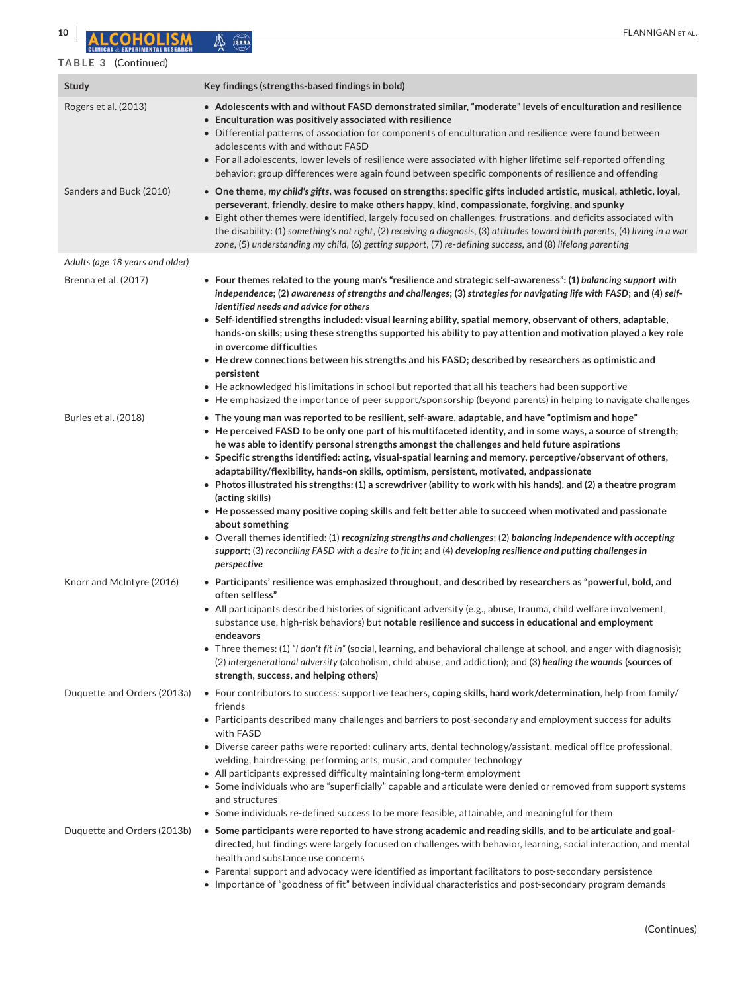# **TABLE 3** (Continued)

| <b>Study</b>                    | Key findings (strengths-based findings in bold)                                                                                                                                                                                                                                                                                                                                                                                                                                                                                                                                                                                                                                                                                                                                                      |
|---------------------------------|------------------------------------------------------------------------------------------------------------------------------------------------------------------------------------------------------------------------------------------------------------------------------------------------------------------------------------------------------------------------------------------------------------------------------------------------------------------------------------------------------------------------------------------------------------------------------------------------------------------------------------------------------------------------------------------------------------------------------------------------------------------------------------------------------|
| Rogers et al. (2013)            | • Adolescents with and without FASD demonstrated similar, "moderate" levels of enculturation and resilience<br>• Enculturation was positively associated with resilience<br>• Differential patterns of association for components of enculturation and resilience were found between<br>adolescents with and without FASD<br>• For all adolescents, lower levels of resilience were associated with higher lifetime self-reported offending<br>behavior; group differences were again found between specific components of resilience and offending                                                                                                                                                                                                                                                  |
| Sanders and Buck (2010)         | $\bullet$ One theme, my child's gifts, was focused on strengths; specific gifts included artistic, musical, athletic, loyal,<br>perseverant, friendly, desire to make others happy, kind, compassionate, forgiving, and spunky<br>• Eight other themes were identified, largely focused on challenges, frustrations, and deficits associated with<br>the disability: (1) something's not right, (2) receiving a diagnosis, (3) attitudes toward birth parents, (4) living in a war<br>zone, (5) understanding my child, (6) getting support, (7) re-defining success, and (8) lifelong parenting                                                                                                                                                                                                     |
| Adults (age 18 years and older) |                                                                                                                                                                                                                                                                                                                                                                                                                                                                                                                                                                                                                                                                                                                                                                                                      |
| Brenna et al. (2017)            | • Four themes related to the young man's "resilience and strategic self-awareness": (1) balancing support with<br>independence; (2) awareness of strengths and challenges; (3) strategies for navigating life with FASD; and (4) self-<br>identified needs and advice for others<br>• Self-identified strengths included: visual learning ability, spatial memory, observant of others, adaptable,<br>hands-on skills; using these strengths supported his ability to pay attention and motivation played a key role                                                                                                                                                                                                                                                                                 |
|                                 | in overcome difficulties<br>• He drew connections between his strengths and his FASD; described by researchers as optimistic and<br>persistent                                                                                                                                                                                                                                                                                                                                                                                                                                                                                                                                                                                                                                                       |
|                                 | • He acknowledged his limitations in school but reported that all his teachers had been supportive<br>• He emphasized the importance of peer support/sponsorship (beyond parents) in helping to navigate challenges                                                                                                                                                                                                                                                                                                                                                                                                                                                                                                                                                                                  |
| Burles et al. (2018)            | • The young man was reported to be resilient, self-aware, adaptable, and have "optimism and hope"<br>$\bullet$ He perceived FASD to be only one part of his multifaceted identity, and in some ways, a source of strength;<br>he was able to identify personal strengths amongst the challenges and held future aspirations<br>• Specific strengths identified: acting, visual-spatial learning and memory, perceptive/observant of others,<br>adaptability/flexibility, hands-on skills, optimism, persistent, motivated, andpassionate<br>• Photos illustrated his strengths: (1) a screwdriver (ability to work with his hands), and (2) a theatre program<br>(acting skills)<br>$\bullet$ He possessed many positive coping skills and felt better able to succeed when motivated and passionate |
|                                 | about something<br>• Overall themes identified: (1) recognizing strengths and challenges; (2) balancing independence with accepting<br>support; (3) reconciling FASD with a desire to fit in; and (4) developing resilience and putting challenges in<br>perspective                                                                                                                                                                                                                                                                                                                                                                                                                                                                                                                                 |
| Knorr and McIntyre (2016)       | • Participants' resilience was emphasized throughout, and described by researchers as "powerful, bold, and<br>often selfless"<br>• All participants described histories of significant adversity (e.g., abuse, trauma, child welfare involvement,                                                                                                                                                                                                                                                                                                                                                                                                                                                                                                                                                    |
|                                 | substance use, high-risk behaviors) but notable resilience and success in educational and employment<br>endeavors<br>• Three themes: (1) "I don't fit in" (social, learning, and behavioral challenge at school, and anger with diagnosis);<br>(2) intergenerational adversity (alcoholism, child abuse, and addiction); and (3) healing the wounds (sources of<br>strength, success, and helping others)                                                                                                                                                                                                                                                                                                                                                                                            |
| Duquette and Orders (2013a)     | • Four contributors to success: supportive teachers, coping skills, hard work/determination, help from family/<br>friends<br>• Participants described many challenges and barriers to post-secondary and employment success for adults                                                                                                                                                                                                                                                                                                                                                                                                                                                                                                                                                               |
|                                 | with FASD<br>• Diverse career paths were reported: culinary arts, dental technology/assistant, medical office professional,<br>welding, hairdressing, performing arts, music, and computer technology<br>• All participants expressed difficulty maintaining long-term employment<br>• Some individuals who are "superficially" capable and articulate were denied or removed from support systems                                                                                                                                                                                                                                                                                                                                                                                                   |
|                                 | and structures                                                                                                                                                                                                                                                                                                                                                                                                                                                                                                                                                                                                                                                                                                                                                                                       |
|                                 | • Some individuals re-defined success to be more feasible, attainable, and meaningful for them                                                                                                                                                                                                                                                                                                                                                                                                                                                                                                                                                                                                                                                                                                       |
| Duquette and Orders (2013b)     | • Some participants were reported to have strong academic and reading skills, and to be articulate and goal-<br>directed, but findings were largely focused on challenges with behavior, learning, social interaction, and mental<br>health and substance use concerns                                                                                                                                                                                                                                                                                                                                                                                                                                                                                                                               |
|                                 | • Parental support and advocacy were identified as important facilitators to post-secondary persistence<br>• Importance of "goodness of fit" between individual characteristics and post-secondary program demands                                                                                                                                                                                                                                                                                                                                                                                                                                                                                                                                                                                   |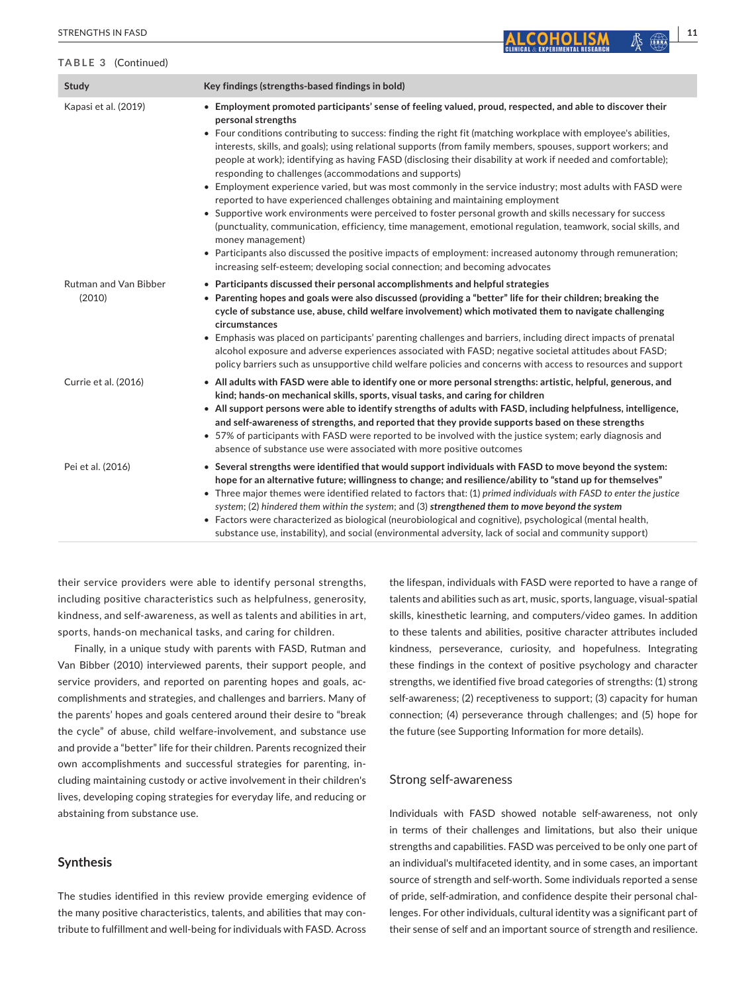### **TABLE 3** (Continued)

| Study                                  | Key findings (strengths-based findings in bold)                                                                                                                                                                                                                                                                                                                                                                                                                                                                                                                                                                                                                                                                                                                                                                                                                                                                                                                                                                                                                                                                                                                                          |
|----------------------------------------|------------------------------------------------------------------------------------------------------------------------------------------------------------------------------------------------------------------------------------------------------------------------------------------------------------------------------------------------------------------------------------------------------------------------------------------------------------------------------------------------------------------------------------------------------------------------------------------------------------------------------------------------------------------------------------------------------------------------------------------------------------------------------------------------------------------------------------------------------------------------------------------------------------------------------------------------------------------------------------------------------------------------------------------------------------------------------------------------------------------------------------------------------------------------------------------|
| Kapasi et al. (2019)                   | • Employment promoted participants' sense of feeling valued, proud, respected, and able to discover their<br>personal strengths<br>• Four conditions contributing to success: finding the right fit (matching workplace with employee's abilities,<br>interests, skills, and goals); using relational supports (from family members, spouses, support workers; and<br>people at work); identifying as having FASD (disclosing their disability at work if needed and comfortable);<br>responding to challenges (accommodations and supports)<br>• Employment experience varied, but was most commonly in the service industry; most adults with FASD were<br>reported to have experienced challenges obtaining and maintaining employment<br>• Supportive work environments were perceived to foster personal growth and skills necessary for success<br>(punctuality, communication, efficiency, time management, emotional regulation, teamwork, social skills, and<br>money management)<br>• Participants also discussed the positive impacts of employment: increased autonomy through remuneration;<br>increasing self-esteem; developing social connection; and becoming advocates |
| <b>Rutman and Van Bibber</b><br>(2010) | • Participants discussed their personal accomplishments and helpful strategies<br>• Parenting hopes and goals were also discussed (providing a "better" life for their children; breaking the<br>cycle of substance use, abuse, child welfare involvement) which motivated them to navigate challenging<br>circumstances<br>• Emphasis was placed on participants' parenting challenges and barriers, including direct impacts of prenatal<br>alcohol exposure and adverse experiences associated with FASD; negative societal attitudes about FASD;<br>policy barriers such as unsupportive child welfare policies and concerns with access to resources and support                                                                                                                                                                                                                                                                                                                                                                                                                                                                                                                    |
| Currie et al. (2016)                   | • All adults with FASD were able to identify one or more personal strengths: artistic, helpful, generous, and<br>kind; hands-on mechanical skills, sports, visual tasks, and caring for children<br>• All support persons were able to identify strengths of adults with FASD, including helpfulness, intelligence,<br>and self-awareness of strengths, and reported that they provide supports based on these strengths<br>• 57% of participants with FASD were reported to be involved with the justice system; early diagnosis and<br>absence of substance use were associated with more positive outcomes                                                                                                                                                                                                                                                                                                                                                                                                                                                                                                                                                                            |
| Pei et al. (2016)                      | • Several strengths were identified that would support individuals with FASD to move beyond the system:<br>hope for an alternative future; willingness to change; and resilience/ability to "stand up for themselves"<br>• Three major themes were identified related to factors that: (1) primed individuals with FASD to enter the justice<br>system; (2) hindered them within the system; and (3) strengthened them to move beyond the system                                                                                                                                                                                                                                                                                                                                                                                                                                                                                                                                                                                                                                                                                                                                         |

• Factors were characterized as biological (neurobiological and cognitive), psychological (mental health, substance use, instability), and social (environmental adversity, lack of social and community support)

their service providers were able to identify personal strengths, including positive characteristics such as helpfulness, generosity, kindness, and self-awareness, as well as talents and abilities in art, sports, hands-on mechanical tasks, and caring for children.

Finally, in a unique study with parents with FASD, Rutman and Van Bibber (2010) interviewed parents, their support people, and service providers, and reported on parenting hopes and goals, accomplishments and strategies, and challenges and barriers. Many of the parents' hopes and goals centered around their desire to "break the cycle" of abuse, child welfare-involvement, and substance use and provide a "better" life for their children. Parents recognized their own accomplishments and successful strategies for parenting, including maintaining custody or active involvement in their children's lives, developing coping strategies for everyday life, and reducing or abstaining from substance use.

### **Synthesis**

The studies identified in this review provide emerging evidence of the many positive characteristics, talents, and abilities that may contribute to fulfillment and well-being for individuals with FASD. Across

the lifespan, individuals with FASD were reported to have a range of talents and abilities such as art, music, sports, language, visual-spatial skills, kinesthetic learning, and computers/video games. In addition to these talents and abilities, positive character attributes included kindness, perseverance, curiosity, and hopefulness. Integrating these findings in the context of positive psychology and character strengths, we identified five broad categories of strengths: (1) strong self-awareness; (2) receptiveness to support; (3) capacity for human connection; (4) perseverance through challenges; and (5) hope for the future (see Supporting Information for more details).

#### Strong self-awareness

Individuals with FASD showed notable self-awareness, not only in terms of their challenges and limitations, but also their unique strengths and capabilities. FASD was perceived to be only one part of an individual's multifaceted identity, and in some cases, an important source of strength and self-worth. Some individuals reported a sense of pride, self-admiration, and confidence despite their personal challenges. For other individuals, cultural identity was a significant part of their sense of self and an important source of strength and resilience.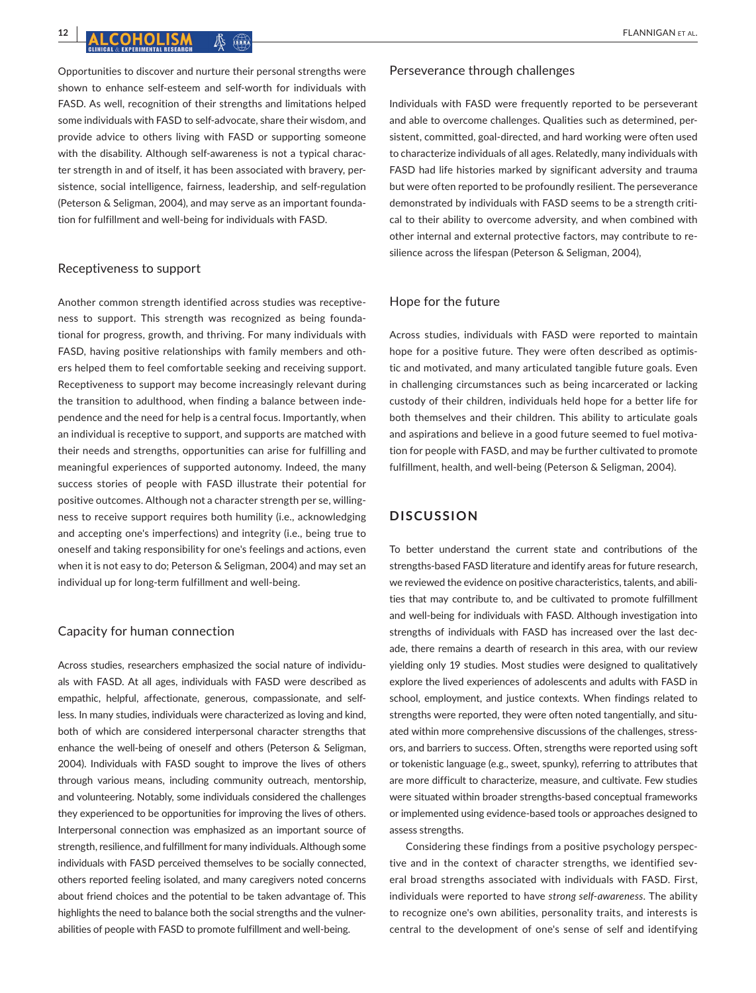Opportunities to discover and nurture their personal strengths were shown to enhance self-esteem and self-worth for individuals with FASD. As well, recognition of their strengths and limitations helped some individuals with FASD to self-advocate, share their wisdom, and provide advice to others living with FASD or supporting someone with the disability. Although self-awareness is not a typical character strength in and of itself, it has been associated with bravery, persistence, social intelligence, fairness, leadership, and self-regulation (Peterson & Seligman, 2004), and may serve as an important foundation for fulfillment and well-being for individuals with FASD.

### Receptiveness to support

Another common strength identified across studies was receptiveness to support. This strength was recognized as being foundational for progress, growth, and thriving. For many individuals with FASD, having positive relationships with family members and others helped them to feel comfortable seeking and receiving support. Receptiveness to support may become increasingly relevant during the transition to adulthood, when finding a balance between independence and the need for help is a central focus. Importantly, when an individual is receptive to support, and supports are matched with their needs and strengths, opportunities can arise for fulfilling and meaningful experiences of supported autonomy. Indeed, the many success stories of people with FASD illustrate their potential for positive outcomes. Although not a character strength per se, willingness to receive support requires both humility (i.e., acknowledging and accepting one's imperfections) and integrity (i.e., being true to oneself and taking responsibility for one's feelings and actions, even when it is not easy to do; Peterson & Seligman, 2004) and may set an individual up for long-term fulfillment and well-being.

#### Capacity for human connection

Across studies, researchers emphasized the social nature of individuals with FASD. At all ages, individuals with FASD were described as empathic, helpful, affectionate, generous, compassionate, and selfless. In many studies, individuals were characterized as loving and kind, both of which are considered interpersonal character strengths that enhance the well-being of oneself and others (Peterson & Seligman, 2004). Individuals with FASD sought to improve the lives of others through various means, including community outreach, mentorship, and volunteering. Notably, some individuals considered the challenges they experienced to be opportunities for improving the lives of others. Interpersonal connection was emphasized as an important source of strength, resilience, and fulfillment for many individuals. Although some individuals with FASD perceived themselves to be socially connected, others reported feeling isolated, and many caregivers noted concerns about friend choices and the potential to be taken advantage of. This highlights the need to balance both the social strengths and the vulnerabilities of people with FASD to promote fulfillment and well-being.

#### Perseverance through challenges

Individuals with FASD were frequently reported to be perseverant and able to overcome challenges. Qualities such as determined, persistent, committed, goal-directed, and hard working were often used to characterize individuals of all ages. Relatedly, many individuals with FASD had life histories marked by significant adversity and trauma but were often reported to be profoundly resilient. The perseverance demonstrated by individuals with FASD seems to be a strength critical to their ability to overcome adversity, and when combined with other internal and external protective factors, may contribute to resilience across the lifespan (Peterson & Seligman, 2004),

# Hope for the future

Across studies, individuals with FASD were reported to maintain hope for a positive future. They were often described as optimistic and motivated, and many articulated tangible future goals. Even in challenging circumstances such as being incarcerated or lacking custody of their children, individuals held hope for a better life for both themselves and their children. This ability to articulate goals and aspirations and believe in a good future seemed to fuel motivation for people with FASD, and may be further cultivated to promote fulfillment, health, and well-being (Peterson & Seligman, 2004).

# **DISCUSSION**

To better understand the current state and contributions of the strengths-based FASD literature and identify areas for future research, we reviewed the evidence on positive characteristics, talents, and abilities that may contribute to, and be cultivated to promote fulfillment and well-being for individuals with FASD. Although investigation into strengths of individuals with FASD has increased over the last decade, there remains a dearth of research in this area, with our review yielding only 19 studies. Most studies were designed to qualitatively explore the lived experiences of adolescents and adults with FASD in school, employment, and justice contexts. When findings related to strengths were reported, they were often noted tangentially, and situated within more comprehensive discussions of the challenges, stressors, and barriers to success. Often, strengths were reported using soft or tokenistic language (e.g., sweet, spunky), referring to attributes that are more difficult to characterize, measure, and cultivate. Few studies were situated within broader strengths-based conceptual frameworks or implemented using evidence-based tools or approaches designed to assess strengths.

Considering these findings from a positive psychology perspective and in the context of character strengths, we identified several broad strengths associated with individuals with FASD. First, individuals were reported to have *strong self*-*awareness*. The ability to recognize one's own abilities, personality traits, and interests is central to the development of one's sense of self and identifying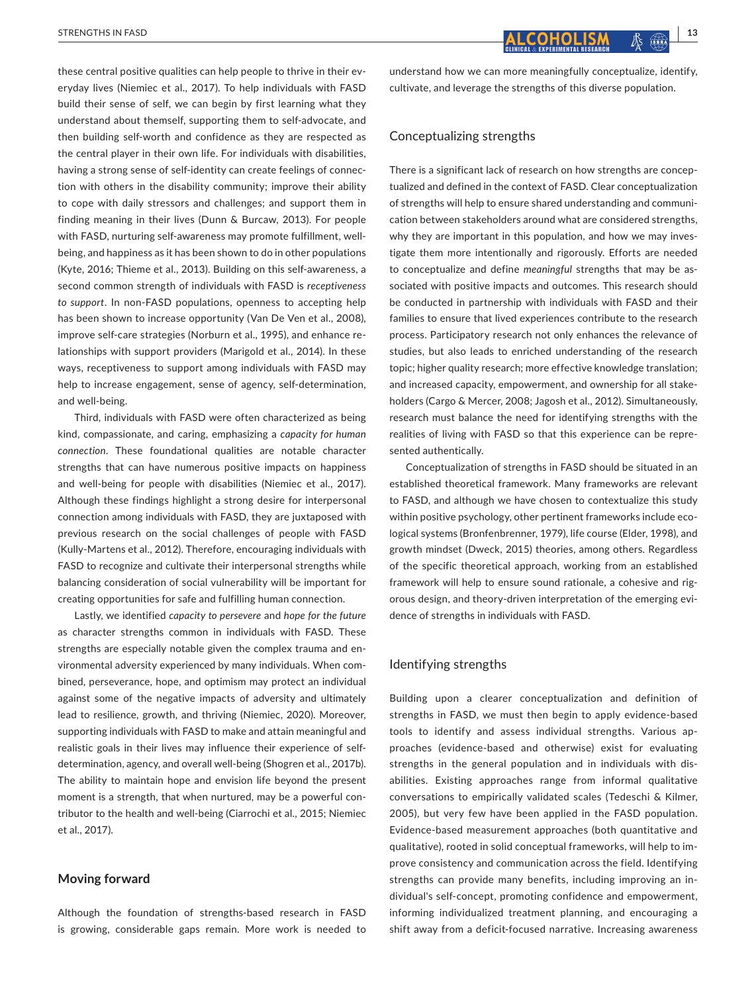these central positive qualities can help people to thrive in their everyday lives (Niemiec et al., 2017). To help individuals with FASD build their sense of self, we can begin by first learning what they understand about themself, supporting them to self-advocate, and then building self-worth and confidence as they are respected as the central player in their own life. For individuals with disabilities, having a strong sense of self-identity can create feelings of connection with others in the disability community; improve their ability to cope with daily stressors and challenges; and support them in finding meaning in their lives (Dunn & Burcaw, 2013). For people with FASD, nurturing self-awareness may promote fulfillment, wellbeing, and happiness as it has been shown to do in other populations (Kyte, 2016; Thieme et al., 2013). Building on this self-awareness, a second common strength of individuals with FASD is *receptiveness to support*. In non-FASD populations, openness to accepting help has been shown to increase opportunity (Van De Ven et al., 2008), improve self-care strategies (Norburn et al., 1995), and enhance relationships with support providers (Marigold et al., 2014). In these ways, receptiveness to support among individuals with FASD may help to increase engagement, sense of agency, self-determination, and well-being.

Third, individuals with FASD were often characterized as being kind, compassionate, and caring, emphasizing a *capacity for human connection*. These foundational qualities are notable character strengths that can have numerous positive impacts on happiness and well-being for people with disabilities (Niemiec et al., 2017). Although these findings highlight a strong desire for interpersonal connection among individuals with FASD, they are juxtaposed with previous research on the social challenges of people with FASD (Kully-Martens et al., 2012). Therefore, encouraging individuals with FASD to recognize and cultivate their interpersonal strengths while balancing consideration of social vulnerability will be important for creating opportunities for safe and fulfilling human connection.

Lastly, we identified *capacity to persevere* and *hope for the future* as character strengths common in individuals with FASD. These strengths are especially notable given the complex trauma and environmental adversity experienced by many individuals. When combined, perseverance, hope, and optimism may protect an individual against some of the negative impacts of adversity and ultimately lead to resilience, growth, and thriving (Niemiec, 2020). Moreover, supporting individuals with FASD to make and attain meaningful and realistic goals in their lives may influence their experience of selfdetermination, agency, and overall well-being (Shogren et al., 2017b). The ability to maintain hope and envision life beyond the present moment is a strength, that when nurtured, may be a powerful contributor to the health and well-being (Ciarrochi et al., 2015; Niemiec et al., 2017).

#### **Moving forward**

Although the foundation of strengths-based research in FASD is growing, considerable gaps remain. More work is needed to understand how we can more meaningfully conceptualize, identify, cultivate, and leverage the strengths of this diverse population.

# Conceptualizing strengths

There is a significant lack of research on how strengths are conceptualized and defined in the context of FASD. Clear conceptualization of strengths will help to ensure shared understanding and communication between stakeholders around what are considered strengths, why they are important in this population, and how we may investigate them more intentionally and rigorously. Efforts are needed to conceptualize and define *meaningful* strengths that may be associated with positive impacts and outcomes. This research should be conducted in partnership with individuals with FASD and their families to ensure that lived experiences contribute to the research process. Participatory research not only enhances the relevance of studies, but also leads to enriched understanding of the research topic; higher quality research; more effective knowledge translation; and increased capacity, empowerment, and ownership for all stakeholders (Cargo & Mercer, 2008; Jagosh et al., 2012). Simultaneously, research must balance the need for identifying strengths with the realities of living with FASD so that this experience can be represented authentically.

Conceptualization of strengths in FASD should be situated in an established theoretical framework. Many frameworks are relevant to FASD, and although we have chosen to contextualize this study within positive psychology, other pertinent frameworks include ecological systems (Bronfenbrenner, 1979), life course (Elder, 1998), and growth mindset (Dweck, 2015) theories, among others. Regardless of the specific theoretical approach, working from an established framework will help to ensure sound rationale, a cohesive and rigorous design, and theory-driven interpretation of the emerging evidence of strengths in individuals with FASD.

# Identifying strengths

Building upon a clearer conceptualization and definition of strengths in FASD, we must then begin to apply evidence-based tools to identify and assess individual strengths. Various approaches (evidence-based and otherwise) exist for evaluating strengths in the general population and in individuals with disabilities. Existing approaches range from informal qualitative conversations to empirically validated scales (Tedeschi & Kilmer, 2005), but very few have been applied in the FASD population. Evidence-based measurement approaches (both quantitative and qualitative), rooted in solid conceptual frameworks, will help to improve consistency and communication across the field. Identifying strengths can provide many benefits, including improving an individual's self-concept, promoting confidence and empowerment, informing individualized treatment planning, and encouraging a shift away from a deficit-focused narrative. Increasing awareness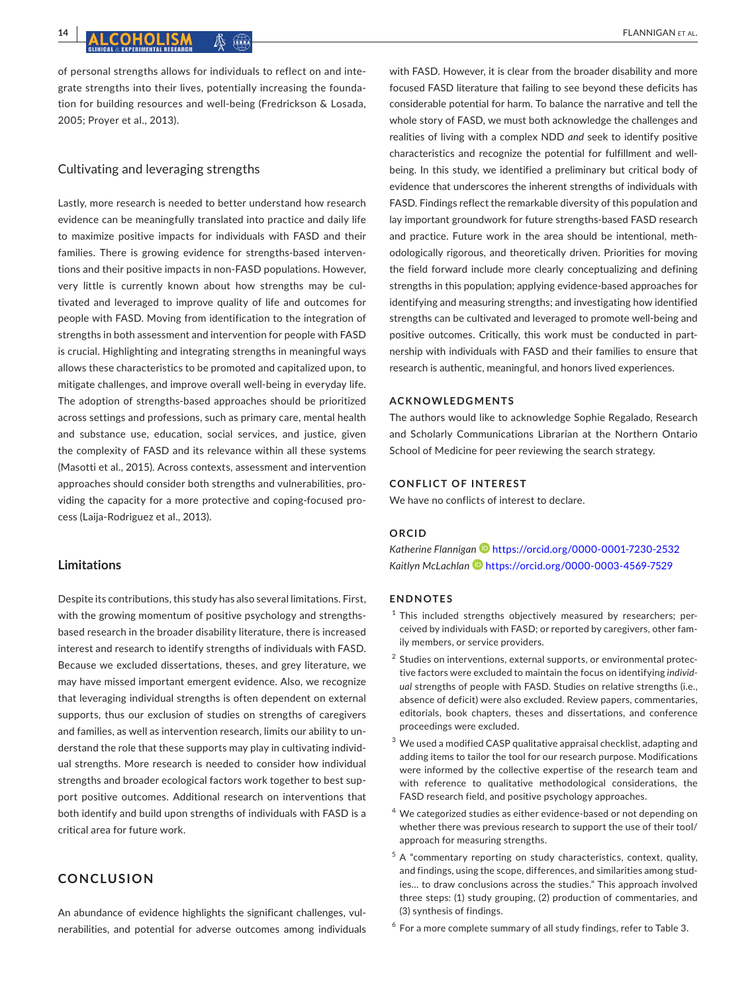of personal strengths allows for individuals to reflect on and integrate strengths into their lives, potentially increasing the foundation for building resources and well-being (Fredrickson & Losada, 2005; Proyer et al., 2013).

# Cultivating and leveraging strengths

Lastly, more research is needed to better understand how research evidence can be meaningfully translated into practice and daily life to maximize positive impacts for individuals with FASD and their families. There is growing evidence for strengths-based interventions and their positive impacts in non-FASD populations. However, very little is currently known about how strengths may be cultivated and leveraged to improve quality of life and outcomes for people with FASD. Moving from identification to the integration of strengths in both assessment and intervention for people with FASD is crucial. Highlighting and integrating strengths in meaningful ways allows these characteristics to be promoted and capitalized upon, to mitigate challenges, and improve overall well-being in everyday life. The adoption of strengths-based approaches should be prioritized across settings and professions, such as primary care, mental health and substance use, education, social services, and justice, given the complexity of FASD and its relevance within all these systems (Masotti et al., 2015). Across contexts, assessment and intervention approaches should consider both strengths and vulnerabilities, providing the capacity for a more protective and coping-focused process (Laija-Rodriguez et al., 2013).

# **Limitations**

Despite its contributions, this study has also several limitations. First, with the growing momentum of positive psychology and strengthsbased research in the broader disability literature, there is increased interest and research to identify strengths of individuals with FASD. Because we excluded dissertations, theses, and grey literature, we may have missed important emergent evidence. Also, we recognize that leveraging individual strengths is often dependent on external supports, thus our exclusion of studies on strengths of caregivers and families, as well as intervention research, limits our ability to understand the role that these supports may play in cultivating individual strengths. More research is needed to consider how individual strengths and broader ecological factors work together to best support positive outcomes. Additional research on interventions that both identify and build upon strengths of individuals with FASD is a critical area for future work.

# **CONCLUSION**

An abundance of evidence highlights the significant challenges, vulnerabilities, and potential for adverse outcomes among individuals with FASD. However, it is clear from the broader disability and more focused FASD literature that failing to see beyond these deficits has considerable potential for harm. To balance the narrative and tell the whole story of FASD, we must both acknowledge the challenges and realities of living with a complex NDD *and* seek to identify positive characteristics and recognize the potential for fulfillment and wellbeing. In this study, we identified a preliminary but critical body of evidence that underscores the inherent strengths of individuals with FASD. Findings reflect the remarkable diversity of this population and lay important groundwork for future strengths-based FASD research and practice. Future work in the area should be intentional, methodologically rigorous, and theoretically driven. Priorities for moving the field forward include more clearly conceptualizing and defining strengths in this population; applying evidence-based approaches for identifying and measuring strengths; and investigating how identified strengths can be cultivated and leveraged to promote well-being and positive outcomes. Critically, this work must be conducted in partnership with individuals with FASD and their families to ensure that research is authentic, meaningful, and honors lived experiences.

#### **ACKNOWLEDGMENTS**

The authors would like to acknowledge Sophie Regalado, Research and Scholarly Communications Librarian at the Northern Ontario School of Medicine for peer reviewing the search strategy.

# **CONFLICT OF INTEREST**

We have no conflicts of interest to declare.

#### **ORCID**

*Katherine Flanniga[n](https://orcid.org/0000-0001-7230-2532)* <https://orcid.org/0000-0001-7230-2532> *Kaitlyn McLachlan* <https://orcid.org/0000-0003-4569-7529>

#### **ENDNOTES**

- $1$  This included strengths objectively measured by researchers; perceived by individuals with FASD; or reported by caregivers, other family members, or service providers.
- <sup>2</sup> Studies on interventions, external supports, or environmental protective factors were excluded to maintain the focus on identifying *individual* strengths of people with FASD. Studies on relative strengths (i.e., absence of deficit) were also excluded. Review papers, commentaries, editorials, book chapters, theses and dissertations, and conference proceedings were excluded.
- <sup>3</sup> We used a modified CASP qualitative appraisal checklist, adapting and adding items to tailor the tool for our research purpose. Modifications were informed by the collective expertise of the research team and with reference to qualitative methodological considerations, the FASD research field, and positive psychology approaches.
- <sup>4</sup> We categorized studies as either evidence-based or not depending on whether there was previous research to support the use of their tool/ approach for measuring strengths.
- $5$  A "commentary reporting on study characteristics, context, quality, and findings, using the scope, differences, and similarities among studies… to draw conclusions across the studies." This approach involved three steps: (1) study grouping, (2) production of commentaries, and (3) synthesis of findings.
- $6$  For a more complete summary of all study findings, refer to Table 3.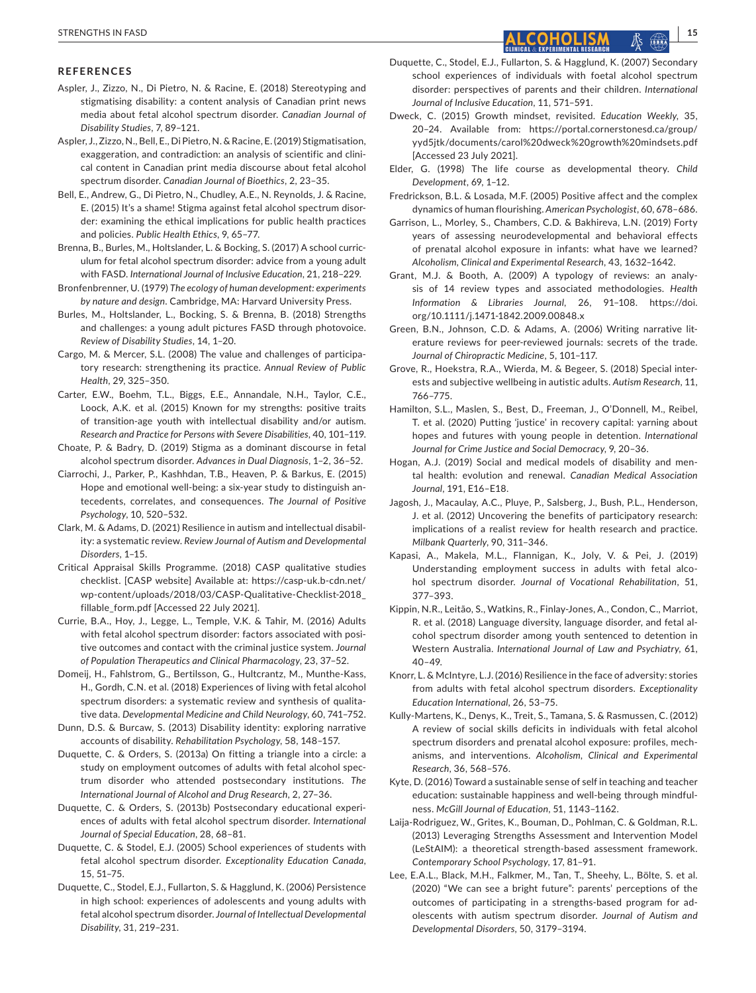#### **REFERENCES**

- Aspler, J., Zizzo, N., Di Pietro, N. & Racine, E. (2018) Stereotyping and stigmatising disability: a content analysis of Canadian print news media about fetal alcohol spectrum disorder. *Canadian Journal of Disability Studies*, 7, 89–121.
- Aspler, J., Zizzo, N., Bell, E., Di Pietro, N. & Racine, E. (2019) Stigmatisation, exaggeration, and contradiction: an analysis of scientific and clinical content in Canadian print media discourse about fetal alcohol spectrum disorder. *Canadian Journal of Bioethics*, 2, 23–35.
- Bell, E., Andrew, G., Di Pietro, N., Chudley, A.E., N. Reynolds, J. & Racine, E. (2015) It's a shame! Stigma against fetal alcohol spectrum disorder: examining the ethical implications for public health practices and policies. *Public Health Ethics*, 9, 65–77.
- Brenna, B., Burles, M., Holtslander, L. & Bocking, S. (2017) A school curriculum for fetal alcohol spectrum disorder: advice from a young adult with FASD. *International Journal of Inclusive Education*, 21, 218–229.
- Bronfenbrenner, U. (1979) *The ecology of human development: experiments by nature and design*. Cambridge, MA: Harvard University Press.
- Burles, M., Holtslander, L., Bocking, S. & Brenna, B. (2018) Strengths and challenges: a young adult pictures FASD through photovoice. *Review of Disability Studies*, 14, 1–20.
- Cargo, M. & Mercer, S.L. (2008) The value and challenges of participatory research: strengthening its practice. *Annual Review of Public Health*, 29, 325–350.
- Carter, E.W., Boehm, T.L., Biggs, E.E., Annandale, N.H., Taylor, C.E., Loock, A.K. et al. (2015) Known for my strengths: positive traits of transition-age youth with intellectual disability and/or autism. *Research and Practice for Persons with Severe Disabilities*, 40, 101–119.
- Choate, P. & Badry, D. (2019) Stigma as a dominant discourse in fetal alcohol spectrum disorder. *Advances in Dual Diagnosis*, 1–2, 36–52.
- Ciarrochi, J., Parker, P., Kashhdan, T.B., Heaven, P. & Barkus, E. (2015) Hope and emotional well-being: a six-year study to distinguish antecedents, correlates, and consequences. *The Journal of Positive Psychology*, 10, 520–532.
- Clark, M. & Adams, D. (2021) Resilience in autism and intellectual disability: a systematic review. *Review Journal of Autism and Developmental Disorders*, 1–15.
- Critical Appraisal Skills Programme. (2018) CASP qualitative studies checklist. [CASP website] Available at: [https://casp-uk.b-cdn.net/](https://casp-uk.b-cdn.net/wp-content/uploads/2018/03/CASP-Qualitative-Checklist-2018_fillable_form.pdf) [wp-content/uploads/2018/03/CASP-Qualitative-Checklist-2018\\_](https://casp-uk.b-cdn.net/wp-content/uploads/2018/03/CASP-Qualitative-Checklist-2018_fillable_form.pdf) [fillable\\_form.pdf](https://casp-uk.b-cdn.net/wp-content/uploads/2018/03/CASP-Qualitative-Checklist-2018_fillable_form.pdf) [Accessed 22 July 2021].
- Currie, B.A., Hoy, J., Legge, L., Temple, V.K. & Tahir, M. (2016) Adults with fetal alcohol spectrum disorder: factors associated with positive outcomes and contact with the criminal justice system. *Journal of Population Therapeutics and Clinical Pharmacology*, 23, 37–52.
- Domeij, H., Fahlstrom, G., Bertilsson, G., Hultcrantz, M., Munthe-Kass, H., Gordh, C.N. et al. (2018) Experiences of living with fetal alcohol spectrum disorders: a systematic review and synthesis of qualitative data. *Developmental Medicine and Child Neurology*, 60, 741–752.
- Dunn, D.S. & Burcaw, S. (2013) Disability identity: exploring narrative accounts of disability. *Rehabilitation Psychology*, 58, 148–157.
- Duquette, C. & Orders, S. (2013a) On fitting a triangle into a circle: a study on employment outcomes of adults with fetal alcohol spectrum disorder who attended postsecondary institutions. *The International Journal of Alcohol and Drug Research*, 2, 27–36.
- Duquette, C. & Orders, S. (2013b) Postsecondary educational experiences of adults with fetal alcohol spectrum disorder. *International Journal of Special Education*, 28, 68–81.
- Duquette, C. & Stodel, E.J. (2005) School experiences of students with fetal alcohol spectrum disorder. *Exceptionality Education Canada*, 15, 51–75.
- Duquette, C., Stodel, E.J., Fullarton, S. & Hagglund, K. (2006) Persistence in high school: experiences of adolescents and young adults with fetal alcohol spectrum disorder. *Journal of Intellectual Developmental Disability*, 31, 219–231.
- Duquette, C., Stodel, E.J., Fullarton, S. & Hagglund, K. (2007) Secondary school experiences of individuals with foetal alcohol spectrum disorder: perspectives of parents and their children. *International Journal of Inclusive Education*, 11, 571–591.
- Dweck, C. (2015) Growth mindset, revisited. *Education Weekly*, 35, 20–24. Available from: [https://portal.cornerstonesd.ca/group/](https://portal.cornerstonesd.ca/group/yyd5jtk/documents/carol dweck growth mindsets.pdf) [yyd5jtk/documents/carol%20dweck%20growth%20mindsets.pdf](https://portal.cornerstonesd.ca/group/yyd5jtk/documents/carol dweck growth mindsets.pdf)  [Accessed 23 July 2021].
- Elder, G. (1998) The life course as developmental theory. *Child Development*, 69, 1–12.
- Fredrickson, B.L. & Losada, M.F. (2005) Positive affect and the complex dynamics of human flourishing. *American Psychologist*, 60, 678–686.
- Garrison, L., Morley, S., Chambers, C.D. & Bakhireva, L.N. (2019) Forty years of assessing neurodevelopmental and behavioral effects of prenatal alcohol exposure in infants: what have we learned? *Alcoholism, Clinical and Experimental Research*, 43, 1632–1642.
- Grant, M.J. & Booth, A. (2009) A typology of reviews: an analysis of 14 review types and associated methodologies. *Health Information & Libraries Journal*, 26, 91–108. [https://doi.](https://doi.org/10.1111/j.1471-1842.2009.00848.x) [org/10.1111/j.1471-1842.2009.00848.x](https://doi.org/10.1111/j.1471-1842.2009.00848.x)
- Green, B.N., Johnson, C.D. & Adams, A. (2006) Writing narrative literature reviews for peer-reviewed journals: secrets of the trade. *Journal of Chiropractic Medicine*, 5, 101–117.
- Grove, R., Hoekstra, R.A., Wierda, M. & Begeer, S. (2018) Special interests and subjective wellbeing in autistic adults. *Autism Research*, 11, 766–775.
- Hamilton, S.L., Maslen, S., Best, D., Freeman, J., O'Donnell, M., Reibel, T. et al. (2020) Putting 'justice' in recovery capital: yarning about hopes and futures with young people in detention. *International Journal for Crime Justice and Social Democracy*, 9, 20–36.
- Hogan, A.J. (2019) Social and medical models of disability and mental health: evolution and renewal. *Canadian Medical Association Journal*, 191, E16–E18.
- Jagosh, J., Macaulay, A.C., Pluye, P., Salsberg, J., Bush, P.L., Henderson, J. et al. (2012) Uncovering the benefits of participatory research: implications of a realist review for health research and practice. *Milbank Quarterly*, 90, 311–346.
- Kapasi, A., Makela, M.L., Flannigan, K., Joly, V. & Pei, J. (2019) Understanding employment success in adults with fetal alcohol spectrum disorder. *Journal of Vocational Rehabilitation*, 51, 377–393.
- Kippin, N.R., Leitão, S., Watkins, R., Finlay-Jones, A., Condon, C., Marriot, R. et al. (2018) Language diversity, language disorder, and fetal alcohol spectrum disorder among youth sentenced to detention in Western Australia. *International Journal of Law and Psychiatry*, 61,  $40 - 49.$
- Knorr, L. & McIntyre, L.J. (2016) Resilience in the face of adversity: stories from adults with fetal alcohol spectrum disorders. *Exceptionality Education International*, 26, 53–75.
- Kully-Martens, K., Denys, K., Treit, S., Tamana, S. & Rasmussen, C. (2012) A review of social skills deficits in individuals with fetal alcohol spectrum disorders and prenatal alcohol exposure: profiles, mechanisms, and interventions. *Alcoholism, Clinical and Experimental Research*, 36, 568–576.
- Kyte, D. (2016) Toward a sustainable sense of self in teaching and teacher education: sustainable happiness and well-being through mindfulness. *McGill Journal of Education*, 51, 1143–1162.
- Laija-Rodriguez, W., Grites, K., Bouman, D., Pohlman, C. & Goldman, R.L. (2013) Leveraging Strengths Assessment and Intervention Model (LeStAIM): a theoretical strength-based assessment framework. *Contemporary School Psychology*, 17, 81–91.
- Lee, E.A.L., Black, M.H., Falkmer, M., Tan, T., Sheehy, L., Bölte, S. et al. (2020) "We can see a bright future": parents' perceptions of the outcomes of participating in a strengths-based program for adolescents with autism spectrum disorder. *Journal of Autism and Developmental Disorders*, 50, 3179–3194.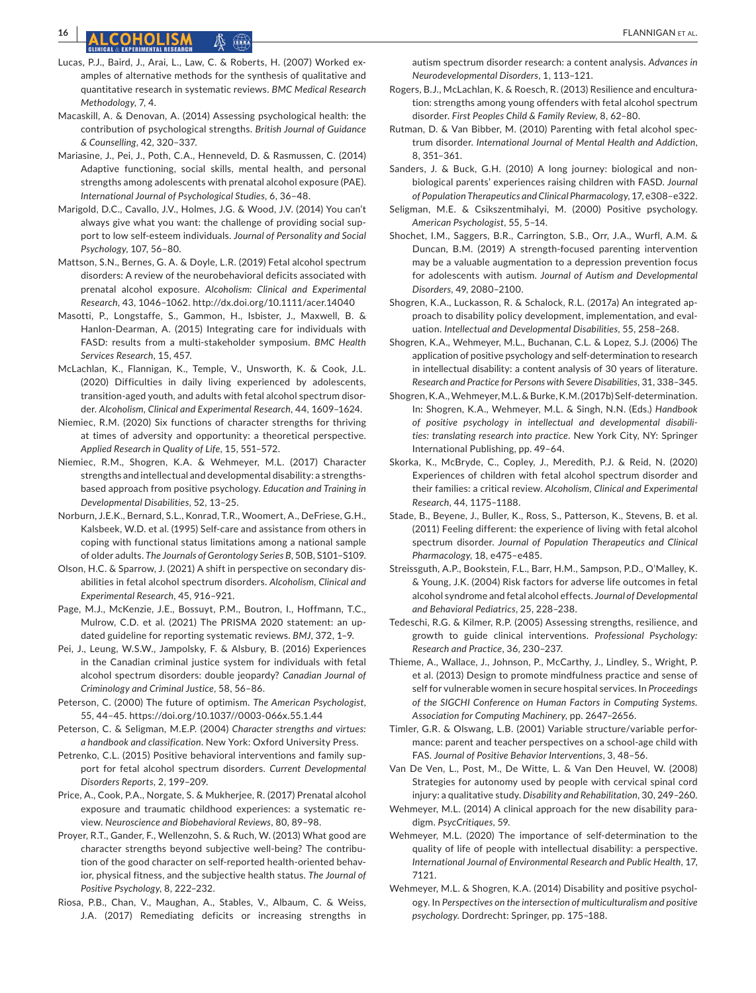# **16 <sup>|</sup>**  FLANNIGAN et al.

- Lucas, P.J., Baird, J., Arai, L., Law, C. & Roberts, H. (2007) Worked examples of alternative methods for the synthesis of qualitative and quantitative research in systematic reviews. *BMC Medical Research Methodology*, 7, 4.
- Macaskill, A. & Denovan, A. (2014) Assessing psychological health: the contribution of psychological strengths. *British Journal of Guidance & Counselling*, 42, 320–337.
- Mariasine, J., Pei, J., Poth, C.A., Henneveld, D. & Rasmussen, C. (2014) Adaptive functioning, social skills, mental health, and personal strengths among adolescents with prenatal alcohol exposure (PAE). *International Journal of Psychological Studies*, 6, 36–48.
- Marigold, D.C., Cavallo, J.V., Holmes, J.G. & Wood, J.V. (2014) You can't always give what you want: the challenge of providing social support to low self-esteem individuals. *Journal of Personality and Social Psychology*, 107, 56–80.
- Mattson, S.N., Bernes, G. A. & Doyle, L.R. (2019) Fetal alcohol spectrum disorders: A review of the neurobehavioral deficits associated with prenatal alcohol exposure. *Alcoholism: Clinical and Experimental Research*, 43, 1046–1062. <http://dx.doi.org/10.1111/acer.14040>
- Masotti, P., Longstaffe, S., Gammon, H., Isbister, J., Maxwell, B. & Hanlon-Dearman, A. (2015) Integrating care for individuals with FASD: results from a multi-stakeholder symposium. *BMC Health Services Research*, 15, 457.
- McLachlan, K., Flannigan, K., Temple, V., Unsworth, K. & Cook, J.L. (2020) Difficulties in daily living experienced by adolescents, transition-aged youth, and adults with fetal alcohol spectrum disorder. *Alcoholism, Clinical and Experimental Research*, 44, 1609–1624.
- Niemiec, R.M. (2020) Six functions of character strengths for thriving at times of adversity and opportunity: a theoretical perspective. *Applied Research in Quality of Life*, 15, 551–572.
- Niemiec, R.M., Shogren, K.A. & Wehmeyer, M.L. (2017) Character strengths and intellectual and developmental disability: a strengthsbased approach from positive psychology. *Education and Training in Developmental Disabilities*, 52, 13–25.
- Norburn, J.E.K., Bernard, S.L., Konrad, T.R., Woomert, A., DeFriese, G.H., Kalsbeek, W.D. et al. (1995) Self-care and assistance from others in coping with functional status limitations among a national sample of older adults. *The Journals of Gerontology Series B*, 50B, S101–S109.
- Olson, H.C. & Sparrow, J. (2021) A shift in perspective on secondary disabilities in fetal alcohol spectrum disorders. *Alcoholism, Clinical and Experimental Research*, 45, 916–921.
- Page, M.J., McKenzie, J.E., Bossuyt, P.M., Boutron, I., Hoffmann, T.C., Mulrow, C.D. et al. (2021) The PRISMA 2020 statement: an updated guideline for reporting systematic reviews. *BMJ*, 372, 1–9.
- Pei, J., Leung, W.S.W., Jampolsky, F. & Alsbury, B. (2016) Experiences in the Canadian criminal justice system for individuals with fetal alcohol spectrum disorders: double jeopardy? *Canadian Journal of Criminology and Criminal Justice*, 58, 56–86.
- Peterson, C. (2000) The future of optimism. *The American Psychologist*, 55, 44–45. <https://doi.org/10.1037//0003-066x.55.1.44>
- Peterson, C. & Seligman, M.E.P. (2004) *Character strengths and virtues: a handbook and classification*. New York: Oxford University Press.
- Petrenko, C.L. (2015) Positive behavioral interventions and family support for fetal alcohol spectrum disorders. *Current Developmental Disorders Reports*, 2, 199–209.
- Price, A., Cook, P.A., Norgate, S. & Mukherjee, R. (2017) Prenatal alcohol exposure and traumatic childhood experiences: a systematic review. *Neuroscience and Biobehavioral Reviews*, 80, 89–98.
- Proyer, R.T., Gander, F., Wellenzohn, S. & Ruch, W. (2013) What good are character strengths beyond subjective well-being? The contribution of the good character on self-reported health-oriented behavior, physical fitness, and the subjective health status. *The Journal of Positive Psychology*, 8, 222–232.
- Riosa, P.B., Chan, V., Maughan, A., Stables, V., Albaum, C. & Weiss, J.A. (2017) Remediating deficits or increasing strengths in

autism spectrum disorder research: a content analysis. *Advances in Neurodevelopmental Disorders*, 1, 113–121.

- Rogers, B.J., McLachlan, K. & Roesch, R. (2013) Resilience and enculturation: strengths among young offenders with fetal alcohol spectrum disorder. *First Peoples Child & Family Review*, 8, 62–80.
- Rutman, D. & Van Bibber, M. (2010) Parenting with fetal alcohol spectrum disorder. *International Journal of Mental Health and Addiction*, 8, 351–361.
- Sanders, J. & Buck, G.H. (2010) A long journey: biological and nonbiological parents' experiences raising children with FASD. *Journal of Population Therapeutics and Clinical Pharmacology*, 17, e308–e322.
- Seligman, M.E. & Csikszentmihalyi, M. (2000) Positive psychology. *American Psychologist*, 55, 5–14.
- Shochet, I.M., Saggers, B.R., Carrington, S.B., Orr, J.A., Wurfl, A.M. & Duncan, B.M. (2019) A strength-focused parenting intervention may be a valuable augmentation to a depression prevention focus for adolescents with autism. *Journal of Autism and Developmental Disorders*, 49, 2080–2100.
- Shogren, K.A., Luckasson, R. & Schalock, R.L. (2017a) An integrated approach to disability policy development, implementation, and evaluation. *Intellectual and Developmental Disabilities*, 55, 258–268.
- Shogren, K.A., Wehmeyer, M.L., Buchanan, C.L. & Lopez, S.J. (2006) The application of positive psychology and self-determination to research in intellectual disability: a content analysis of 30 years of literature. *Research and Practice for Persons with Severe Disabilities*, 31, 338–345.
- Shogren, K.A., Wehmeyer, M.L. & Burke, K.M. (2017b) Self-determination. In: Shogren, K.A., Wehmeyer, M.L. & Singh, N.N. (Eds.) *Handbook of positive psychology in intellectual and developmental disabilities: translating research into practice*. New York City, NY: Springer International Publishing, pp. 49–64.
- Skorka, K., McBryde, C., Copley, J., Meredith, P.J. & Reid, N. (2020) Experiences of children with fetal alcohol spectrum disorder and their families: a critical review. *Alcoholism, Clinical and Experimental Research*, 44, 1175–1188.
- Stade, B., Beyene, J., Buller, K., Ross, S., Patterson, K., Stevens, B. et al. (2011) Feeling different: the experience of living with fetal alcohol spectrum disorder. *Journal of Population Therapeutics and Clinical Pharmacology*, 18, e475–e485.
- Streissguth, A.P., Bookstein, F.L., Barr, H.M., Sampson, P.D., O'Malley, K. & Young, J.K. (2004) Risk factors for adverse life outcomes in fetal alcohol syndrome and fetal alcohol effects. *Journal of Developmental and Behavioral Pediatrics*, 25, 228–238.
- Tedeschi, R.G. & Kilmer, R.P. (2005) Assessing strengths, resilience, and growth to guide clinical interventions. *Professional Psychology: Research and Practice*, 36, 230–237.
- Thieme, A., Wallace, J., Johnson, P., McCarthy, J., Lindley, S., Wright, P. et al. (2013) Design to promote mindfulness practice and sense of self for vulnerable women in secure hospital services. In *Proceedings of the SIGCHI Conference on Human Factors in Computing Systems. Association for Computing Machinery*, pp. 2647–2656.
- Timler, G.R. & Olswang, L.B. (2001) Variable structure/variable performance: parent and teacher perspectives on a school-age child with FAS. *Journal of Positive Behavior Interventions*, 3, 48–56.
- Van De Ven, L., Post, M., De Witte, L. & Van Den Heuvel, W. (2008) Strategies for autonomy used by people with cervical spinal cord injury: a qualitative study. *Disability and Rehabilitation*, 30, 249–260.
- Wehmeyer, M.L. (2014) A clinical approach for the new disability paradigm. *PsycCritiques*, 59.
- Wehmeyer, M.L. (2020) The importance of self-determination to the quality of life of people with intellectual disability: a perspective. *International Journal of Environmental Research and Public Health*, 17, 7121.
- Wehmeyer, M.L. & Shogren, K.A. (2014) Disability and positive psychology. In *Perspectives on the intersection of multiculturalism and positive psychology*. Dordrecht: Springer, pp. 175–188.